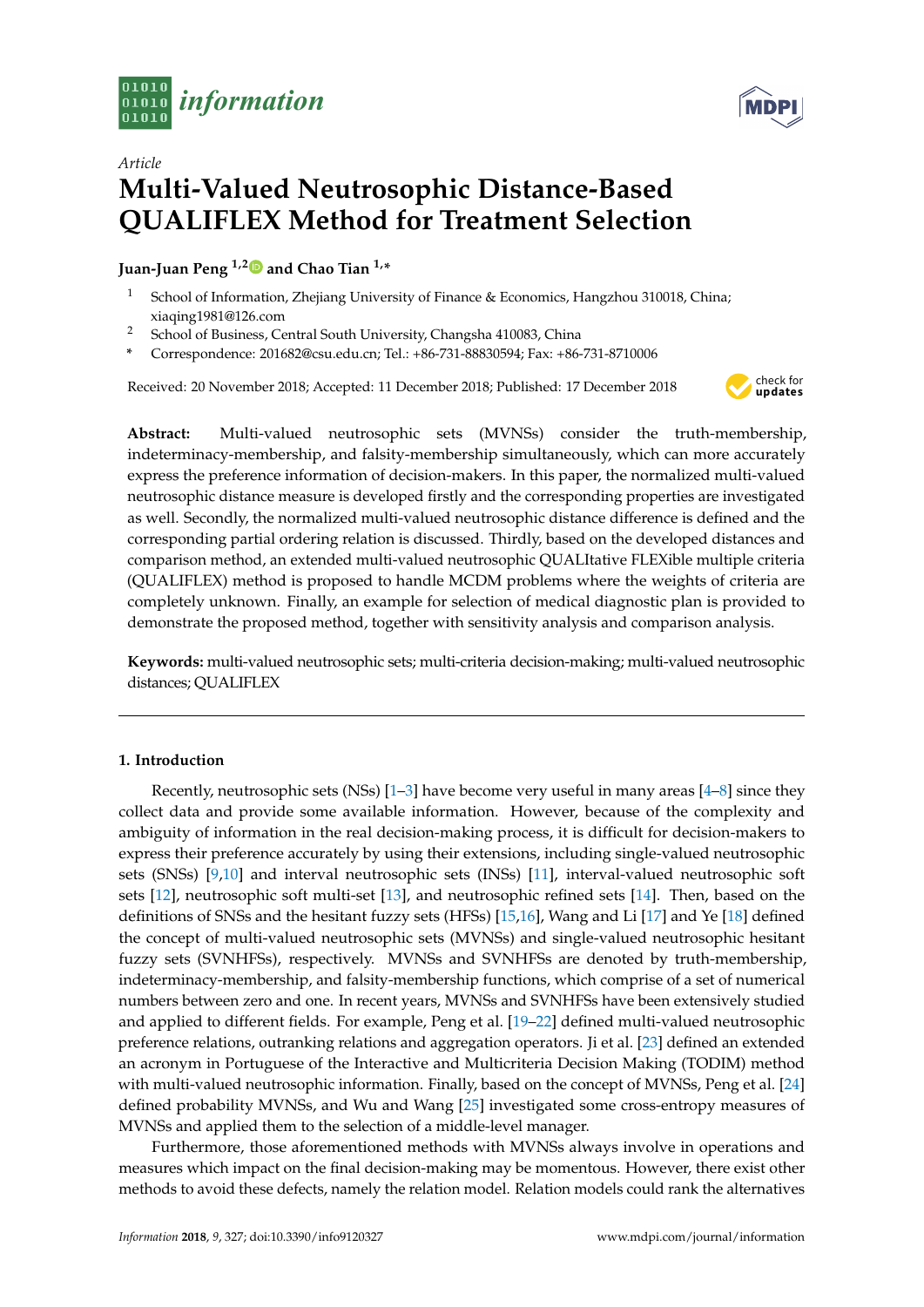



# *Article* **Multi-Valued Neutrosophic Distance-Based QUALIFLEX Method for Treatment Selection**

**Juan-Juan Peng 1,[2](https://orcid.org/0000-0002-9529-4800) and Chao Tian 1,\***

- School of Information, Zhejiang University of Finance & Economics, Hangzhou 310018, China; xiaqing1981@126.com
- <sup>2</sup> School of Business, Central South University, Changsha 410083, China
- **\*** Correspondence: 201682@csu.edu.cn; Tel.: +86-731-88830594; Fax: +86-731-8710006

Received: 20 November 2018; Accepted: 11 December 2018; Published: 17 December 2018



**Abstract:** Multi-valued neutrosophic sets (MVNSs) consider the truth-membership, indeterminacy-membership, and falsity-membership simultaneously, which can more accurately express the preference information of decision-makers. In this paper, the normalized multi-valued neutrosophic distance measure is developed firstly and the corresponding properties are investigated as well. Secondly, the normalized multi-valued neutrosophic distance difference is defined and the corresponding partial ordering relation is discussed. Thirdly, based on the developed distances and comparison method, an extended multi-valued neutrosophic QUALItative FLEXible multiple criteria (QUALIFLEX) method is proposed to handle MCDM problems where the weights of criteria are completely unknown. Finally, an example for selection of medical diagnostic plan is provided to demonstrate the proposed method, together with sensitivity analysis and comparison analysis.

**Keywords:** multi-valued neutrosophic sets; multi-criteria decision-making; multi-valued neutrosophic distances; QUALIFLEX

# **1. Introduction**

Recently, neutrosophic sets (NSs)  $[1-3]$  $[1-3]$  have become very useful in many areas  $[4-8]$  $[4-8]$  since they collect data and provide some available information. However, because of the complexity and ambiguity of information in the real decision-making process, it is difficult for decision-makers to express their preference accurately by using their extensions, including single-valued neutrosophic sets (SNSs) [\[9,](#page-13-1)[10\]](#page-13-2) and interval neutrosophic sets (INSs) [\[11\]](#page-13-3), interval-valued neutrosophic soft sets [\[12\]](#page-13-4), neutrosophic soft multi-set [\[13\]](#page-13-5), and neutrosophic refined sets [\[14\]](#page-13-6). Then, based on the definitions of SNSs and the hesitant fuzzy sets (HFSs) [\[15](#page-13-7)[,16\]](#page-13-8), Wang and Li [\[17\]](#page-13-9) and Ye [\[18\]](#page-13-10) defined the concept of multi-valued neutrosophic sets (MVNSs) and single-valued neutrosophic hesitant fuzzy sets (SVNHFSs), respectively. MVNSs and SVNHFSs are denoted by truth-membership, indeterminacy-membership, and falsity-membership functions, which comprise of a set of numerical numbers between zero and one. In recent years, MVNSs and SVNHFSs have been extensively studied and applied to different fields. For example, Peng et al. [\[19–](#page-13-11)[22\]](#page-13-12) defined multi-valued neutrosophic preference relations, outranking relations and aggregation operators. Ji et al. [\[23\]](#page-13-13) defined an extended an acronym in Portuguese of the Interactive and Multicriteria Decision Making (TODIM) method with multi-valued neutrosophic information. Finally, based on the concept of MVNSs, Peng et al. [\[24\]](#page-13-14) defined probability MVNSs, and Wu and Wang [\[25\]](#page-13-15) investigated some cross-entropy measures of MVNSs and applied them to the selection of a middle-level manager.

Furthermore, those aforementioned methods with MVNSs always involve in operations and measures which impact on the final decision-making may be momentous. However, there exist other methods to avoid these defects, namely the relation model. Relation models could rank the alternatives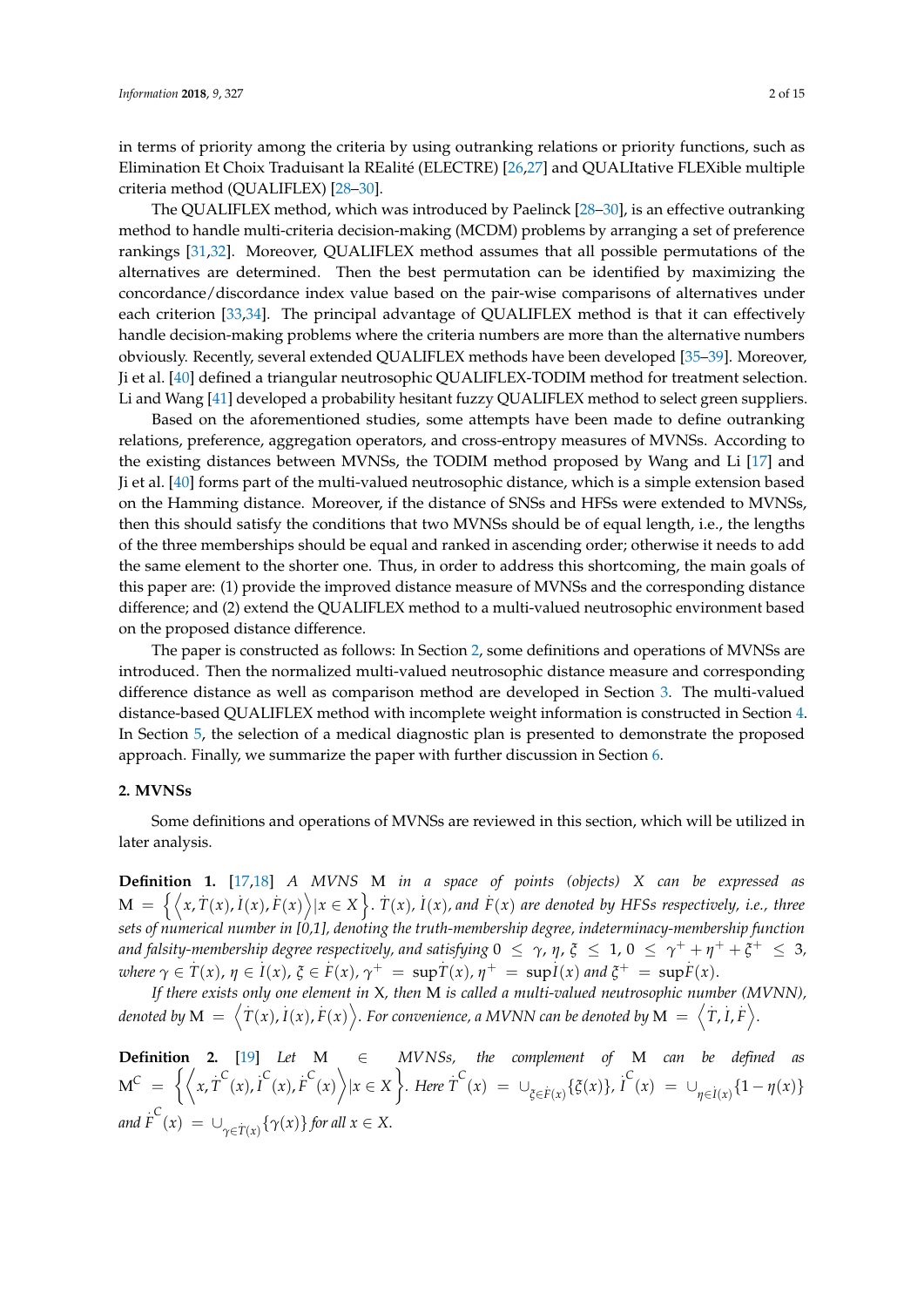in terms of priority among the criteria by using outranking relations or priority functions, such as Elimination Et Choix Traduisant la REalité (ELECTRE) [\[26,](#page-13-16)[27\]](#page-13-17) and QUALItative FLEXible multiple criteria method (QUALIFLEX) [\[28](#page-13-18)[–30\]](#page-13-19).

The QUALIFLEX method, which was introduced by Paelinck [\[28–](#page-13-18)[30\]](#page-13-19), is an effective outranking method to handle multi-criteria decision-making (MCDM) problems by arranging a set of preference rankings [\[31,](#page-13-20)[32\]](#page-13-21). Moreover, QUALIFLEX method assumes that all possible permutations of the alternatives are determined. Then the best permutation can be identified by maximizing the concordance/discordance index value based on the pair-wise comparisons of alternatives under each criterion [\[33,](#page-14-0)[34\]](#page-14-1). The principal advantage of QUALIFLEX method is that it can effectively handle decision-making problems where the criteria numbers are more than the alternative numbers obviously. Recently, several extended QUALIFLEX methods have been developed [\[35](#page-14-2)[–39\]](#page-14-3). Moreover, Ji et al. [\[40\]](#page-14-4) defined a triangular neutrosophic QUALIFLEX-TODIM method for treatment selection. Li and Wang [\[41\]](#page-14-5) developed a probability hesitant fuzzy QUALIFLEX method to select green suppliers.

Based on the aforementioned studies, some attempts have been made to define outranking relations, preference, aggregation operators, and cross-entropy measures of MVNSs. According to the existing distances between MVNSs, the TODIM method proposed by Wang and Li [\[17\]](#page-13-9) and Ji et al. [\[40\]](#page-14-4) forms part of the multi-valued neutrosophic distance, which is a simple extension based on the Hamming distance. Moreover, if the distance of SNSs and HFSs were extended to MVNSs, then this should satisfy the conditions that two MVNSs should be of equal length, i.e., the lengths of the three memberships should be equal and ranked in ascending order; otherwise it needs to add the same element to the shorter one. Thus, in order to address this shortcoming, the main goals of this paper are: (1) provide the improved distance measure of MVNSs and the corresponding distance difference; and (2) extend the QUALIFLEX method to a multi-valued neutrosophic environment based on the proposed distance difference.

The paper is constructed as follows: In Section [2,](#page-1-0) some definitions and operations of MVNSs are introduced. Then the normalized multi-valued neutrosophic distance measure and corresponding difference distance as well as comparison method are developed in Section [3.](#page-2-0) The multi-valued distance-based QUALIFLEX method with incomplete weight information is constructed in Section [4.](#page-6-0) In Section [5,](#page-8-0) the selection of a medical diagnostic plan is presented to demonstrate the proposed approach. Finally, we summarize the paper with further discussion in Section [6.](#page-12-3)

# <span id="page-1-0"></span>**2. MVNSs**

Some definitions and operations of MVNSs are reviewed in this section, which will be utilized in later analysis.

**Definition 1.** [\[17](#page-13-9)[,18\]](#page-13-10) *A MVNS* M *in a space of points (objects) X can be expressed as*  $M = \{ \langle x, T(x), I(x), F(x) \rangle | x \in X \}.$   $T(x), I(x),$  and  $F(x)$  are denoted by HFSs respectively, i.e., three *sets of numerical number in [0,1], denoting the truth-membership degree, indeterminacy-membership function and falsity-membership degree respectively, and satisfying*  $0\,\leq\,\gamma$ *,*  $\eta$ *,*  $\xi\,\leq\,1$ *,*  $0\,\leq\,\gamma^+ + \eta^+ + \xi^+ \,\leq\, 3$ *,* where  $\gamma \in \dot{T}(x)$ ,  $\eta \in I(x)$ ,  $\xi \in F(x)$ ,  $\gamma^+ = \sup \dot{T}(x)$ ,  $\eta^+ = \sup I(x)$  and  $\xi^+ = \sup F(x)$ .

*If there exists only one element in* X*, then* M *is called a multi-valued neutrosophic number (MVNN),* denoted by  $M = \langle T(x), I(x), F(x) \rangle$ . For convenience, a MVNN can be denoted by  $M = \langle T, I, F \rangle$ .

**Definition 2.** [\[19\]](#page-13-11) *Let* M ∈ *MVNSs, the complement of* M *can be defined as*  $M^{C} = \left\{ \left\langle x, \overline{T}^{C}(x), \overline{T}^{C}(x), \overline{F}^{C}(x) \right\rangle | x \in X \right\}.$  Here  $\overline{T}^{C}(x) = \bigcup_{\xi \in \overline{F}(x)} \left\{ \xi(x) \right\}, \overline{T}^{C}(x) = \bigcup_{\eta \in \overline{I}(x)} \left\{ 1 - \eta(x) \right\}$ *and*  $\overline{F}^C(x) = \cup_{\gamma \in \overline{T}(x)} \{\gamma(x)\}$  *for all*  $x \in X$ .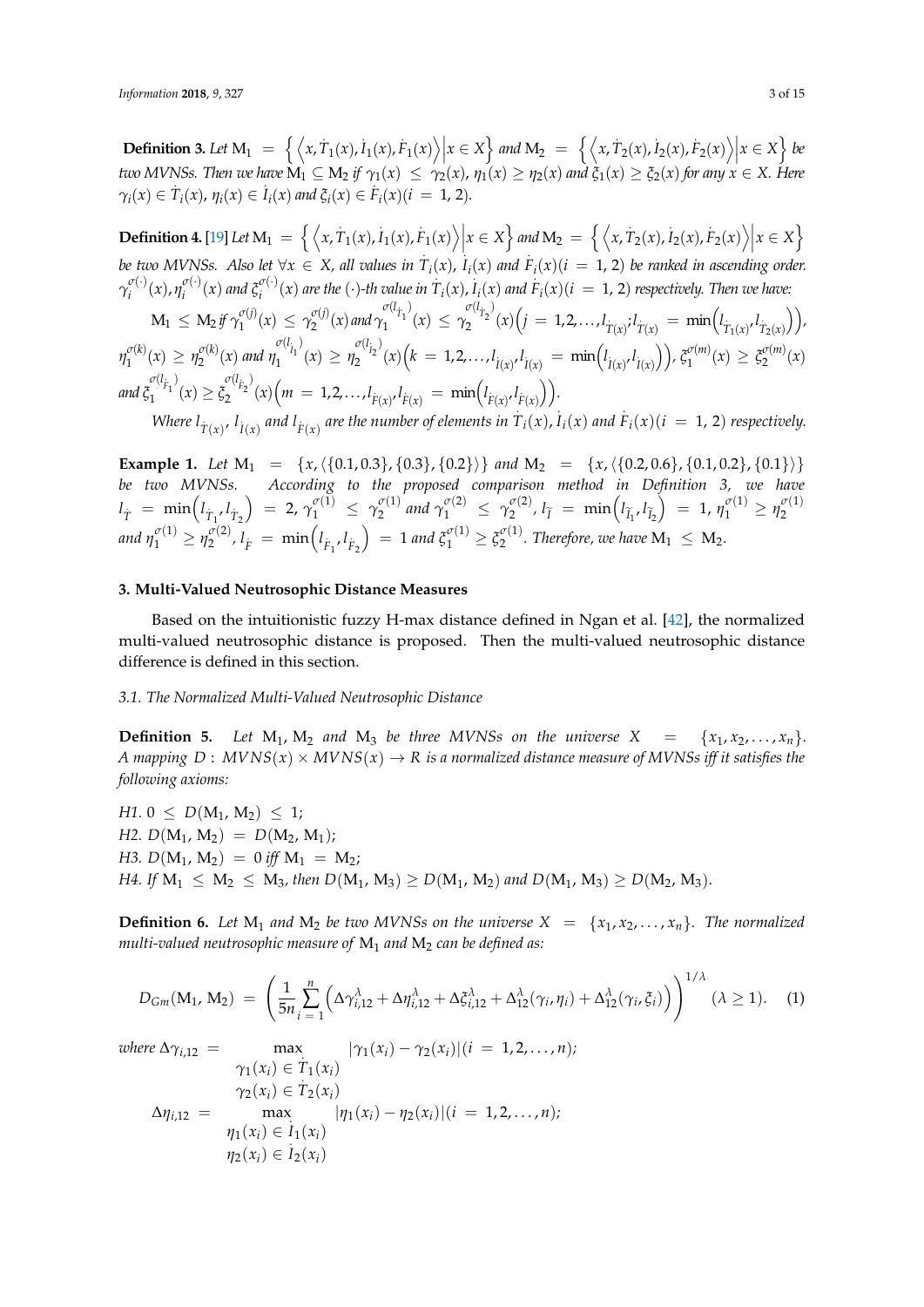**Definition 3.** Let  $M_1 = \left\{ \left\langle x, T_1(x), I_1(x), F_1(x) \right\rangle \middle| x \in X \right\}$  and  $M_2 = \left\{ \left\langle x, T_2(x), I_2(x), F_2(x) \right\rangle \middle| x \in X \right\}$  be two MVNSs. Then we have  $M_1 \subseteq M_2$  if  $\gamma_1(x) \leq \gamma_2(x)$ ,  $\eta_1(x) \geq \eta_2(x)$  and  $\xi_1(x) \geq \xi_2(x)$  for any  $x \in X$ . Here  $\gamma_i(x) \in T_i(x)$ ,  $\eta_i(x) \in I_i(x)$  and  $\xi_i(x) \in F_i(x)$ (*i* = 1, 2).

**Definition 4.** [\[19\]](#page-13-11) Let  $M_1 = \left\{ \left\langle x, T_1(x), I_1(x), F_1(x) \right\rangle | x \in X \right\}$  and  $M_2 = \left\{ \left\langle x, T_2(x), I_2(x), F_2(x) \right\rangle | x \in X \right\}$ *be two MVNSs. Also let*  $\forall x \in X$ , all values in  $T_i(x)$ ,  $T_i(x)$  and  $F_i(x)$  ( $i = 1, 2$ ) be ranked in ascending order. *γ σ*(·)  $\sigma^{(\cdot)}_i(x)$ ,  $\eta_i^{\sigma(\cdot)}$  $\int_i^{\sigma(\cdot)} (x)$  and  $\zeta_i^{\sigma(\cdot)}$  $\int_{i}^{\sigma(\cdot)} (x)$  are the (·)-th value in  $T_i(x)$ ,  $I_i(x)$  and  $F_i(x)$ ( $i = 1, 2$ ) respectively. Then we have:

 $\mathrm{M}_1 \, \leq \, \mathrm{M}_2 \, \textit{if} \; \gamma_1^{\sigma(j)}$  $\gamma_1^{\sigma(j)}(x) \leq \gamma_2^{\sigma(j)}$  $\frac{\sigma(l_{\tau_1})}{2}(x)$  and  $\gamma_1^{(l_{\tau_1})}$  $\frac{\sigma(l_{\tau_1})}{1}(x) \leq \frac{\sigma(l_{\tau_2})}{\gamma_2}$  $\int_{2}^{U(t_{\hat{T}_2})}(x)\Big(j = 1, 2, \ldots, l_{\hat{T}(x)}; l_{\hat{T}(x)} = \min\Big(l_{\hat{T}_1(x)'}l_{\hat{T}_2(x)}\Big)\Big),$  $\eta_1^{\sigma(k)}$  $\eta_1^{\sigma(k)}(x) \geq \eta_2^{\sigma(k)}$  $\int_{2}^{\sigma(k)} (x)$  and  $\int_{1}^{\sigma(l_{i_1})}$  $\frac{\sigma(l_{i_1})}{1}(x) \geq \eta_2^{\sigma(l_{i_2})}$  $\mathcal{L}^{(l_1,j_2)}_2(x)$   $\left(k = 1, 2, ..., l_{\hat{I}(x)}, l_{\hat{I}(x)} = \min(l_{\hat{I}(x)}, l_{\hat{I}(x)})\right), \, \mathcal{E}^{\sigma(m)}_1$  $\zeta_1^{\sigma(m)}(x) \geq \zeta_2^{\sigma(m)}$  $\binom{v(m)}{2}(x)$ *and ξ*  $\sigma(l_{\tilde{F}_1})$  $\int_{1}^{\sigma(l_{\dot{F}_1})}(x) \geq \xi_2^{\sigma(l_{\dot{F}_2})}$  $\int_{2}^{\nu_{(l_{\hat{F}_2})}}(x)\Big(m = 1, 2, \ldots, l_{\hat{F}(x)}, l_{\hat{F}(x)} = \min(l_{\hat{F}(x)}, l_{\hat{F}(x)})\Big).$ Where  $l_{\dot{T}(x)}$ ,  $l_{\dot{T}(x)}$  and  $l_{\dot{F}(x)}$  are the number of elements in  $\dot{T}_i(x)$ ,  $\dot{I}_i(x)$  and  $\dot{F}_i(x)$  $(i = 1, 2)$  respectively.

**Example 1.** *Let*  $M_1 = \{x, \{\{0.1, 0.3\}, \{0.3\}, \{0.2\}\}\}$  *and*  $M_2 = \{x, \{\{0.2, 0.6\}, \{0.1, 0.2\}, \{0.1\}\}\}\$ *be two MVNSs. According to the proposed comparison method in Definition 3, we have*  $l_{\dot{T}} = \min_{T_1} \left( l_{\dot{T}_1} l_{\dot{T}_2} \right)$  $\Big)$  = 2,  $\gamma_1^{\sigma(1)}$   $\leq \ \gamma_2^{\sigma(1)}$  $\gamma_2^{\sigma(1)}$  and  $\gamma_1^{\sigma(2)} \leq \gamma_2^{\sigma(2)}$  $\left( \frac{\sigma(2)}{I_1}, l_{\tilde{I}_1} \right) = 1, \eta_1^{\sigma(1)} \geq \eta_2^{\sigma(1)}$ 2 and  $\eta_1^{\sigma(1)} \geq \eta_2^{\sigma(2)}$  $\int_{2}^{\sigma(2)}$ ,  $l_{\dot{F}} = \min \left( l_{\dot{F}_1}, l_{\dot{F}_2} \right)$  $= 1$  *and*  $\zeta_1^{\sigma(1)} \geq \zeta_2^{\sigma(1)}$  $2^{O(1)}$ . Therefore, we have  $M_1 \leq M_2$ .

# <span id="page-2-0"></span>**3. Multi-Valued Neutrosophic Distance Measures**

Based on the intuitionistic fuzzy H-max distance defined in Ngan et al. [\[42\]](#page-14-6), the normalized multi-valued neutrosophic distance is proposed. Then the multi-valued neutrosophic distance difference is defined in this section.

# *3.1. The Normalized Multi-Valued Neutrosophic Distance*

**Definition 5.** Let  $M_1$ ,  $M_2$  and  $M_3$  be three MVNSs on the universe  $X = \{x_1, x_2, \ldots, x_n\}$ . *A mapping*  $D: MVNS(x) \times MVNS(x) \rightarrow R$  *is a normalized distance measure of MVNSs iff it satisfies the following axioms:*

*H1.*  $0 \leq D(M_1, M_2) \leq 1$ ; *H2.*  $D(M_1, M_2) = D(M_2, M_1)$ ; *H3.*  $D(M_1, M_2) = 0$  *iff*  $M_1 = M_2$ ; *H4.* If  $M_1 \leq M_2 \leq M_3$ , then  $D(M_1, M_3) \geq D(M_1, M_2)$  and  $D(M_1, M_3) \geq D(M_2, M_3)$ .

**Definition 6.** Let  $M_1$  and  $M_2$  be two MVNSs on the universe  $X = \{x_1, x_2, \ldots, x_n\}$ . The normalized *multi-valued neutrosophic measure of*  $M_1$  *and*  $M_2$  *can be defined as:* 

$$
D_{Gm}(M_{1}, M_{2}) = \left(\frac{1}{5n} \sum_{i=1}^{n} \left(\Delta \gamma_{i,12}^{\lambda} + \Delta \eta_{i,12}^{\lambda} + \Delta \xi_{i,12}^{\lambda} + \Delta_{12}^{\lambda} (\gamma_{i}, \eta_{i}) + \Delta_{12}^{\lambda} (\gamma_{i}, \xi_{i})\right)\right)^{1/\lambda} (\lambda \ge 1).
$$
\nwhere  $\Delta \gamma_{i,12} = \max_{\begin{aligned}\n\gamma_{1}(x_{i}) \in \dot{T}_{1}(x_{i}) \\
\gamma_{2}(x_{i}) \in \dot{T}_{2}(x_{i})\n\end{aligned}} |\gamma_{1}(x_{i}) - \gamma_{2}(x_{i})| (i = 1, 2, ..., n);$ 

\n
$$
\Delta \eta_{i,12} = \max_{\begin{aligned}\n\eta_{1}(x_{i}) \in \dot{T}_{1}(x_{i}) \\
\eta_{2}(x_{i}) \in \dot{T}_{2}(x_{i})\n\end{aligned}} |\eta_{1}(x_{i}) - \eta_{2}(x_{i})| (i = 1, 2, ..., n);
$$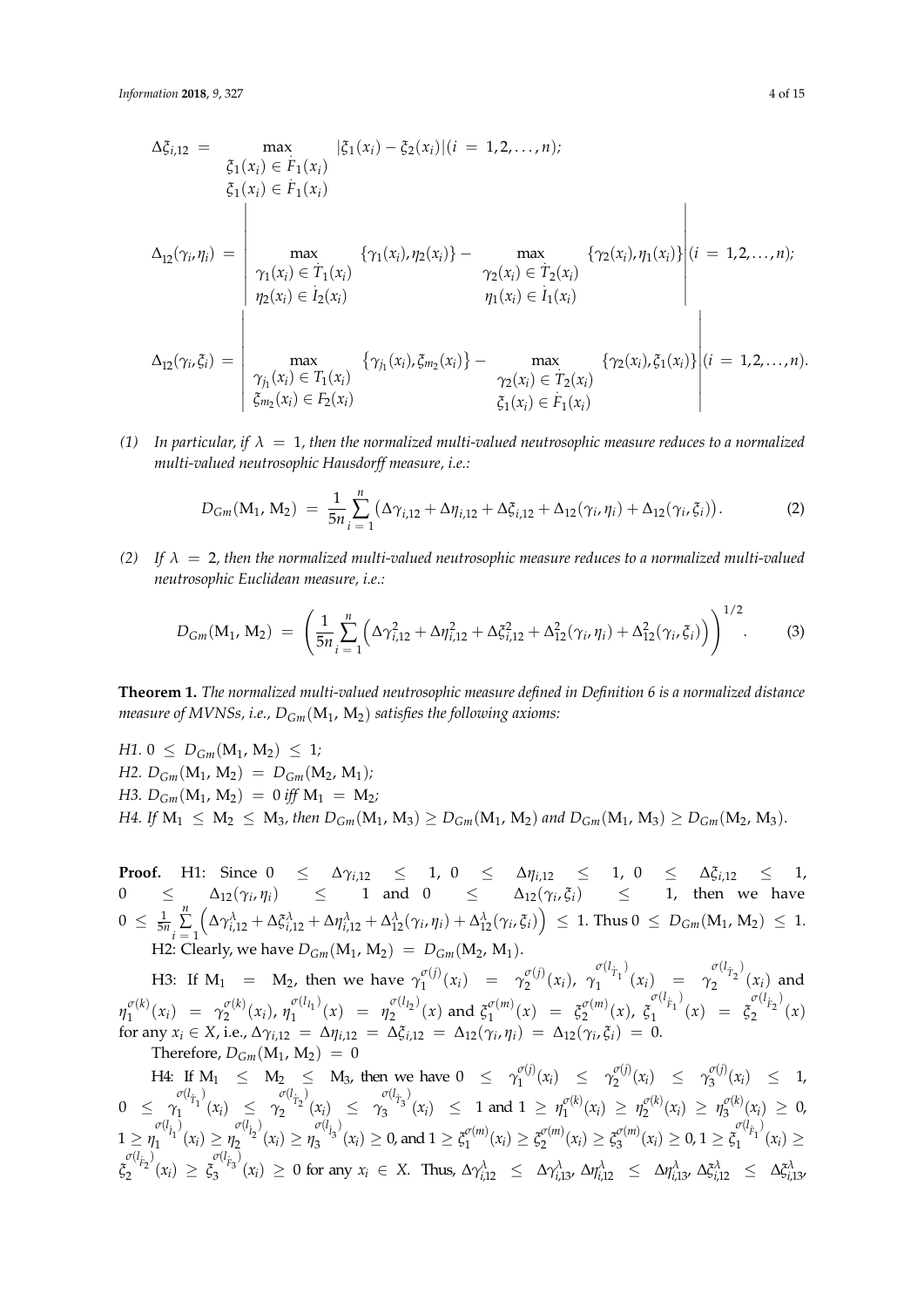$$
\Delta \xi_{i,12} = \max_{\xi_1(x_i) \in F_1(x_i)} |\xi_1(x_i) - \xi_2(x_i)| (i = 1, 2, ..., n);
$$
\n
$$
\xi_1(x_i) \in F_1(x_i)
$$
\n
$$
\Delta_{12}(\gamma_i, \eta_i) = \begin{vmatrix}\n\max_{\gamma_1(x_i) \in T_1(x_i)} \{\gamma_1(x_i), \eta_2(x_i)\} - \max_{\gamma_2(x_i) \in T_2(x_i)} \{\gamma_2(x_i), \eta_1(x_i)\} \big| (i = 1, 2, ..., n); \\
\max_{\eta_2(x_i) \in I_2(x_i)} \eta_1(x_i) \in I_1(x_i)
$$
\n
$$
\Delta_{12}(\gamma_i, \xi_i) = \begin{vmatrix}\n\max_{\gamma_{j_1}(x_i) \in T_1(x_i)} \{\gamma_{j_1}(x_i), \xi_{j_1}(x_i)\} - \max_{\gamma_2(x_i) \in T_2(x_i)} \{\gamma_2(x_i), \xi_1(x_i)\} \big| (i = 1, 2, ..., n). \\
\frac{\gamma_{j_1}(x_i) \in T_1(x_i)}{\xi_{j_1}(x_i) \in F_2(x_i)} \in I_1(x_i) & \frac{\gamma_2(x_i) \in T_2(x_i)}{\xi_1(x_i) \in F_1(x_i)}\n\end{vmatrix}
$$

*(1)* In particular, if  $\lambda = 1$ , then the normalized multi-valued neutrosophic measure reduces to a normalized *multi-valued neutrosophic Hausdorff measure, i.e.:*

$$
D_{Gm}(\mathbf{M}_1, \mathbf{M}_2) = \frac{1}{5n} \sum_{i=1}^n (\Delta \gamma_{i,12} + \Delta \eta_{i,12} + \Delta \xi_{i,12} + \Delta_{12}(\gamma_i, \eta_i) + \Delta_{12}(\gamma_i, \xi_i)).
$$
 (2)

*(2) If λ* = 2*, then the normalized multi-valued neutrosophic measure reduces to a normalized multi-valued neutrosophic Euclidean measure, i.e.:*

$$
D_{Gm}(\mathbf{M}_1, \mathbf{M}_2) = \left(\frac{1}{5n} \sum_{i=1}^n \left(\Delta \gamma_{i,12}^2 + \Delta \eta_{i,12}^2 + \Delta \xi_{i,12}^2 + \Delta_{12}^2 (\gamma_i, \eta_i) + \Delta_{12}^2 (\gamma_i, \xi_i)\right)\right)^{1/2}.
$$
 (3)

**Theorem 1.** *The normalized multi-valued neutrosophic measure defined in Definition 6 is a normalized distance measure of MVNSs, i.e., DGm*(M1, M2) *satisfies the following axioms:*

*H1.*  $0 \leq D_{Gm}(M_1, M_2) \leq 1$ ; *H2.*  $D_{Gm}(M_1, M_2) = D_{Gm}(M_2, M_1)$ *H3.*  $D_{Gm}(M_1, M_2) = 0$  *iff*  $M_1 = M_2$ ;  $H4.$  If  $M_1 \leq M_2 \leq M_3$ , then  $D_{Gm}(M_1, M_3) \geq D_{Gm}(M_1, M_2)$  and  $D_{Gm}(M_1, M_3) \geq D_{Gm}(M_2, M_3)$ .

**Proof.** H1: Since  $0 \leq \Delta \gamma_{i,12} \leq 1$ ,  $0 \leq \Delta \eta_{i,12} \leq 1$ ,  $0 \leq \Delta \xi_{i,12} \leq 1$ ,  $0 \leq \Delta_{12}(\gamma_i, \eta_i) \leq 1$  and  $0 \leq \Delta_{12}(\gamma_i, \xi_i) \leq 1$ , then we have  $0 \leq \frac{1}{5n}$ *n* ∑  $i = 1$  $\left(\Delta\gamma_{i,12}^{\lambda}+\Delta\xi_{i,12}^{\lambda}+\Delta\eta_{i,12}^{\lambda}+\Delta_{12}^{\lambda}(\gamma_i,\eta_i)+\Delta_{12}^{\lambda}(\gamma_i,\xi_i)\right)\leq 1.$  Thus  $0\leq D_{Gm}(M_1,M_2)\leq 1.$ H2: Clearly, we have  $D_{Gm}(M_1, M_2) = D_{Gm}(M_2, M_1)$ . H3: If  $M_1$  =  $M_2$ , then we have  $\gamma_1^{\sigma(j)}$  $\gamma_1^{\sigma(j)}(x_i) = \gamma_2^{\sigma(j)}$  $\frac{\sigma^{(j)}(x_i)}{2}$ ,  $\gamma_1$   $\frac{\sigma^{(l)}(x_i)}{l}$  $\frac{\sigma(l_{\tau_1})}{1}(x_i) = \gamma_2^{\sigma(l_{\tau_2})}$  $\mathbf{z} \left( \begin{matrix} 1 & 2 \\ 2 & 0 \end{matrix} \right)$  and  $\eta_1^{\sigma(k)}$  $\gamma_1^{\sigma(k)}(x_i) = \gamma_2^{\sigma(k)}$  $\frac{\sigma(k)}{2}(x_i)$ ,  $\eta_1^{\sigma(l_{I_1})}$  $\int_{1}^{\sigma(l_{I_1})} (x) = \eta_2^{\sigma(l_{I_2})}$  $\int_{2}^{\sigma(l_{I_2})}(x)$  and  $\xi_1^{\sigma(m)}$  $\zeta_1^{\sigma(m)}(x) = \zeta_2^{\sigma(m)}$  $\zeta_2^{\sigma(m)}(x)$ ,  $\zeta_1^{\sigma(l_{\dot{F}_1})}$  $\int_{1}^{\sigma(l_{\dot{F}_1})} (x) = \xi_2^{\sigma(l_{\dot{F}_2})}$  $2^{r^2} (x)$ for any  $x_i \in X$ , i.e.,  $\Delta \gamma_{i,12} = \Delta \eta_{i,12} = \Delta \xi_{i,12} = \Delta_{12}(\gamma_i, \eta_i) = \Delta_{12}(\gamma_i, \xi_i) = 0$ . Therefore,  $D_{Gm}(M_1, M_2) = 0$ 

H4: If  $M_1 \leq M_2 \leq M_3$ , then we have  $0 \leq \gamma_1^{\sigma(j)}$  $\gamma_1^{\sigma(j)}(x_i) \leq \gamma_2^{\sigma(j)}$  $\gamma_2^{\sigma(j)}(x_i) \leq \gamma_3^{\sigma(j)}$  $\int_{3}^{0} (y_i)^2 \leq 1$ ,  $0 \leq \gamma_1^{ \sigma(l_{\tau_1})}$  $\frac{\sigma(l_{\tau_1})}{1}(x_i) \leq \frac{\sigma(l_{\tau_2})}{\gamma_2}$  $\frac{\sigma(l_{\hat{T}_2})}{2}(x_i) \leq \frac{\sigma(l_{\hat{T}_3})}{\gamma_3}$  $\gamma_3^{(i)}(x_i) \leq 1$  and  $1 \geq \eta_1^{\sigma(k)}$  $\eta_1^{\sigma(k)}(x_i) \geq \eta_2^{\sigma(k)}$  $\eta_2^{\sigma(k)}(x_i) \geq \eta_3^{\sigma(k)}$  $\int_{3}^{\nu(k)}(x_i) \geq 0$ ,  $1 \geq \eta_1^{\sigma(l_{\hat{l}_1})}$  $\int_{1}^{\sigma(l_{i_1})} (x_i) \geq \eta_2^{\sigma(l_{i_2})}$  $\frac{\sigma(l_{i_2})}{2}(x_i) \geq \eta_3^{\sigma(l_{i_3})}$  $J_3^{U(i_{\hat{j}_3})}(x_i) \geq 0$ , and  $1 \geq \zeta_1^{\sigma(m)}$  $\zeta_1^{\sigma(m)}(x_i) \geq \zeta_2^{\sigma(m)}$  $\zeta_2^{\sigma(m)}(x_i) \geq \zeta_3^{\sigma(m)}$  $\mathcal{L}^{(m)}(x_i) \geq 0, 1 \geq \zeta_1^{\sigma(l_{\dot{F}_1})}$  $\sum_{i=1}^{r} (x_i) \geq$ *ξ*  $\sigma(l_{\dot{F}_2})$  $\frac{\sigma(l_{\dot{F}_2})}{2}(x_i) \geq \xi_3^{\sigma(l_{\dot{F}_3})}$  $\mathbb{E}[\hat{\gamma}_3^{1\cdot 5}(x_i) \geq 0 \text{ for any } x_i \in X. \text{ Thus, } \Delta\gamma_{i,12}^{\lambda} \leq \Delta\gamma_{i,13}^{\lambda}, \Delta\eta_{i,12}^{\lambda} \leq \Delta\eta_{i,13}^{\lambda}, \Delta\xi_{i,12}^{\lambda} \leq \Delta\xi_{i,13}^{\lambda}$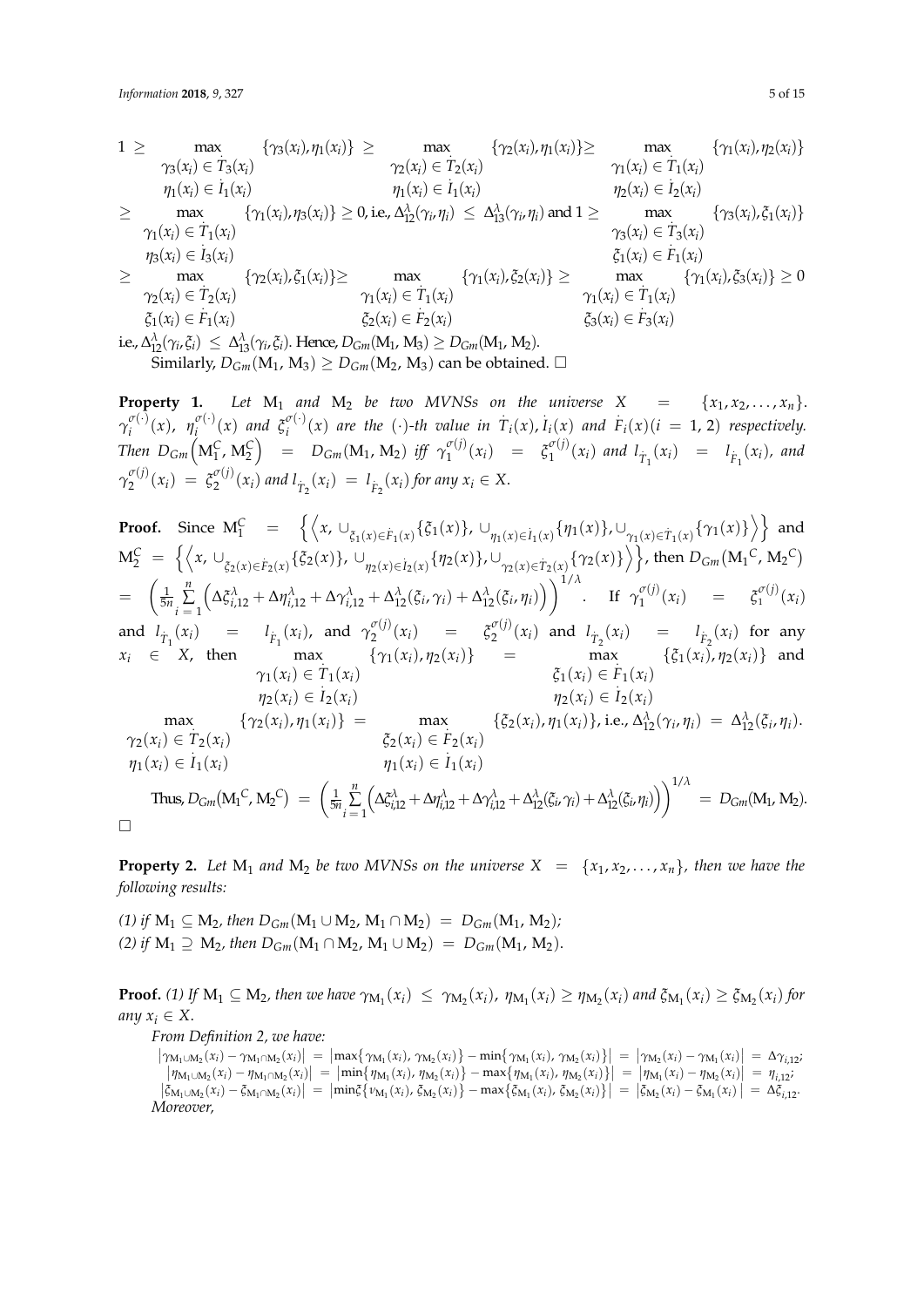$$
1 \geq \max_{\gamma_3(x_i) \in T_3(x_i)} \{\gamma_3(x_i) \in T_3(x_i)\} \geq \max_{\gamma_2(x_i) \in T_2(x_i)} \{\gamma_2(x_i) \in T_2(x_i)\} \text{ max } \{\gamma_1(x_i) \in T_1(x_i)\} \text{ max } \{\gamma_1(x_i) \in T_1(x_i)\} \text{ max } \{\gamma_1(x_i) \in T_1(x_i)\} \text{ max } \{\gamma_1(x_i) \in T_1(x_i)\} \text{ max } \{\gamma_1(x_i) \in T_1(x_i)\} \text{ max } \{\gamma_1(x_i) \in T_1(x_i)\} \text{ max } \{\gamma_1(x_i) \in T_1(x_i)\} \text{ max } \{\gamma_2(x_i) \in T_2(x_i)\} \text{ max } \{\gamma_3(x_i) \in T_3(x_i)\} \text{ max } \{\gamma_3(x_i) \in T_3(x_i)\} \text{ max } \{\gamma_2(x_i) \in T_2(x_i)\} \text{ max } \{\gamma_2(x_i) \in T_2(x_i)\} \text{ max } \{\gamma_2(x_i) \in T_2(x_i)\} \text{ max } \{\gamma_1(x_i) \in T_1(x_i)\} \text{ max } \{\gamma_1(x_i) \in T_1(x_i)\} \text{ max } \{\gamma_1(x_i) \in T_1(x_i)\} \text{ max } \{\gamma_1(x_i) \in T_1(x_i)\} \text{ max } \{\gamma_1(x_i) \in T_1(x_i)\} \text{ max } \{\gamma_1(x_i) \in T_1(x_i)\} \text{ max } \{\gamma_1(x_i) \in T_1(x_i)\} \text{ max } \{\gamma_1(x_i) \in T_1(x_i)\} \text{ max } \{\gamma_1(x_i) \in T_1(x_i)\} \text{ max } \{\gamma_1(x_i) \in T_1(x_i)\} \text{ max } \{\gamma_1(x_i) \in T_1(x_i)\} \text{ max } \{\gamma_1(x_i) \in T_1(x_i)\} \text{ max } \{\gamma_1(x_i) \in T_1(x_i)\} \text{ max } \{\gamma_1(x_i) \in T_1(x_i)\} \text{ max } \{\gamma_1(x_i) \in T_1(x_i)\} \text{ max } \{\gamma_1(x_i) \in T_1(x_i)\} \text{ max } \{\gamma_1(x_i) \in T_1(x_i)\} \text{ max } \{\gamma_1(x_i) \in T_1(x_i)\}
$$

**Property 1.** Let  $M_1$  and  $M_2$  be two MVNSs on the universe  $X = \{x_1, x_2, \ldots, x_n\}.$ *γ σ*(·)  $\sigma^{(\cdot)}_i(x)$ ,  $\eta^{\sigma(\cdot)}_i$  $\int_{i}^{\sigma(\cdot)}(x)$  and  $\zeta_{i}^{\sigma(\cdot)}$  $\int_{i}^{\sigma(\cdot)} (x)$  are the (·)-th value in  $T_i(x)$ ,  $I_i(x)$  and  $F_i(x)$ ( $i = 1, 2$ ) respectively. *Then*  $D_{Gm} \left( M_1^C, M_2^C \right)$  =  $D_{Gm}(M_1, M_2)$  *iff*  $\gamma_1^{\sigma(j)}$  $\zeta_1^{\sigma(j)}(x_i) = \zeta_1^{\sigma(j)}$  $\int_{1}^{U(f)} (x_i)$  and  $l_{\dot{T}_1}(x_i) = l_{\dot{F}_1}(x_i)$ , and  $\gamma_2^{\sigma(j)}$  $\zeta_2^{\sigma(j)}(x_i) = \zeta_2^{\sigma(j)}$  $\frac{d^{(1)}(x_i)}{2}$  and  $l_{\dot{T}_2}(x_i) = l_{\dot{F}_2}(x_i)$  for any  $x_i \in X$ .

Proof. Since 
$$
M_1^C = \left\{ \left\langle x, \bigcup_{\xi_1(x) \in \dot{F}_1(x)} \left\{ \xi_1(x) \right\}, \bigcup_{\eta_1(x) \in \dot{F}_1(x)} \left\{ \eta_1(x) \right\}, \bigcup_{\gamma_1(x) \in \dot{T}_1(x)} \left\{ \gamma_1(x) \right\} \right\rangle \right\}
$$
 and  
\n $M_2^C = \left\{ \left\langle x, \bigcup_{\xi_2(x) \in \dot{F}_2(x)} \left\{ \xi_2(x) \right\}, \bigcup_{\eta_2(x) \in \dot{F}_2(x)} \left\{ \eta_2(x) \right\}, \bigcup_{\gamma_2(x) \in \dot{T}_2(x)} \left\{ \gamma_2(x) \right\} \right\rangle \right\}$ , then  $D_{Gm}(M_1^C, M_2^C)$   
\n $= \left( \frac{1}{5n} \sum_{i=1}^n \left( \Delta \xi_{i,12}^{\lambda} + \Delta \eta_{i,12}^{\lambda} + \Delta \gamma_{i,12}^{\lambda} + \Delta \gamma_{i,2}^{\lambda} + \Delta \gamma_{i,2}^{\lambda} \right) \left( \xi_i, \gamma_i \right) + \Delta \gamma_2^{\lambda} (\xi_i, \eta_i) \right) \right\}.$  If  $\gamma_1^{(\sigma)}(x_i) = \xi_1^{(\sigma)}(x_i)$   
\nand  $l_{\dot{T}_1}(x_i) = l_{\dot{F}_1}(x_i)$ , and  $\gamma_2^{(\sigma)}(x_i) = \xi_2^{(\sigma)}(x_i)$  and  $l_{\dot{T}_2}(x_i) = l_{\dot{F}_2}(x_i)$  for any  
\n $x_i \in X$ , then  $\max_{\gamma_1(x_i) \in \dot{T}_1(x_i)} \left\{ \gamma_1(x_i), \eta_2(x_i) \right\} = \max_{\gamma_1(x_i) \in \dot{T}_1(x_i)} \left\{ \xi_1(x_i), \eta_2(x_i) \right\}$  and  
\n $\xi_1(x_i) \in F_1(x_i)$   
\n $\eta_2(x_i) \in I_2(x_i)$   
\n $\max_{\gamma_1(x_i) \in \dot{T}_2(x_i)} \left\{ \gamma_2(x_i), \eta_1(x_i) \right\} = \max_{\xi_2(x_i) \$ 

**Property 2.** Let  $M_1$  and  $M_2$  be two MVNSs on the universe  $X = \{x_1, x_2, \ldots, x_n\}$ , then we have the *following results:*

*(1) if*  $M_1 ⊆ M_2$ *, then*  $D_{Gm}(M_1 ∪ M_2, M_1 ∩ M_2) = D_{Gm}(M_1, M_2)$ *;* (2) if  $M_1$  ≥  $M_2$ , then  $D_{Gm}(M_1 \cap M_2, M_1 \cup M_2) = D_{Gm}(M_1, M_2)$ .

**Proof.** (1) If  $M_1 \subseteq M_2$ , then we have  $\gamma_{M_1}(x_i) \leq \gamma_{M_2}(x_i)$ ,  $\eta_{M_1}(x_i) \geq \eta_{M_2}(x_i)$  and  $\xi_{M_1}(x_i) \geq \xi_{M_2}(x_i)$  for *any*  $x_i \in X$ .

*From Definition 2, we have:*

 $|\gamma_{M_1 \cup M_2}(x_i) - \gamma_{M_1 \cap M_2}(x_i)| = |\max\{\gamma_{M_1}(x_i), \gamma_{M_2}(x_i)\} - \min\{\gamma_{M_1}(x_i), \gamma_{M_2}(x_i)\}| = |\gamma_{M_2}(x_i) - \gamma_{M_1}(x_i)| = \Delta \gamma_{i,12}$  $|\eta_{M_1 \cup M_2}(x_i) - \eta_{M_1 \cap M_2}(x_i)| = |\min \{\eta_{M_1}(x_i), \eta_{M_2}(x_i)\} - \max \{\eta_{M_1}(x_i), \eta_{M_2}(x_i)\}| = |\eta_{M_1}(x_i) - \eta_{M_2}(x_i)| = \eta_{i,12}$  $\left|\xi_{M_1\cup M_2}(x_i) - \xi_{M_1\cap M_2}(x_i)\right| = \left|\min \xi \{v_{M_1}(x_i), \xi_{M_2}(x_i)\} - \max \{\xi_{M_1}(x_i), \xi_{M_2}(x_i)\}\right| = \left|\xi_{M_2}(x_i) - \xi_{M_1}(x_i)\right| = \Delta \xi_{i,12}$ *Moreover,*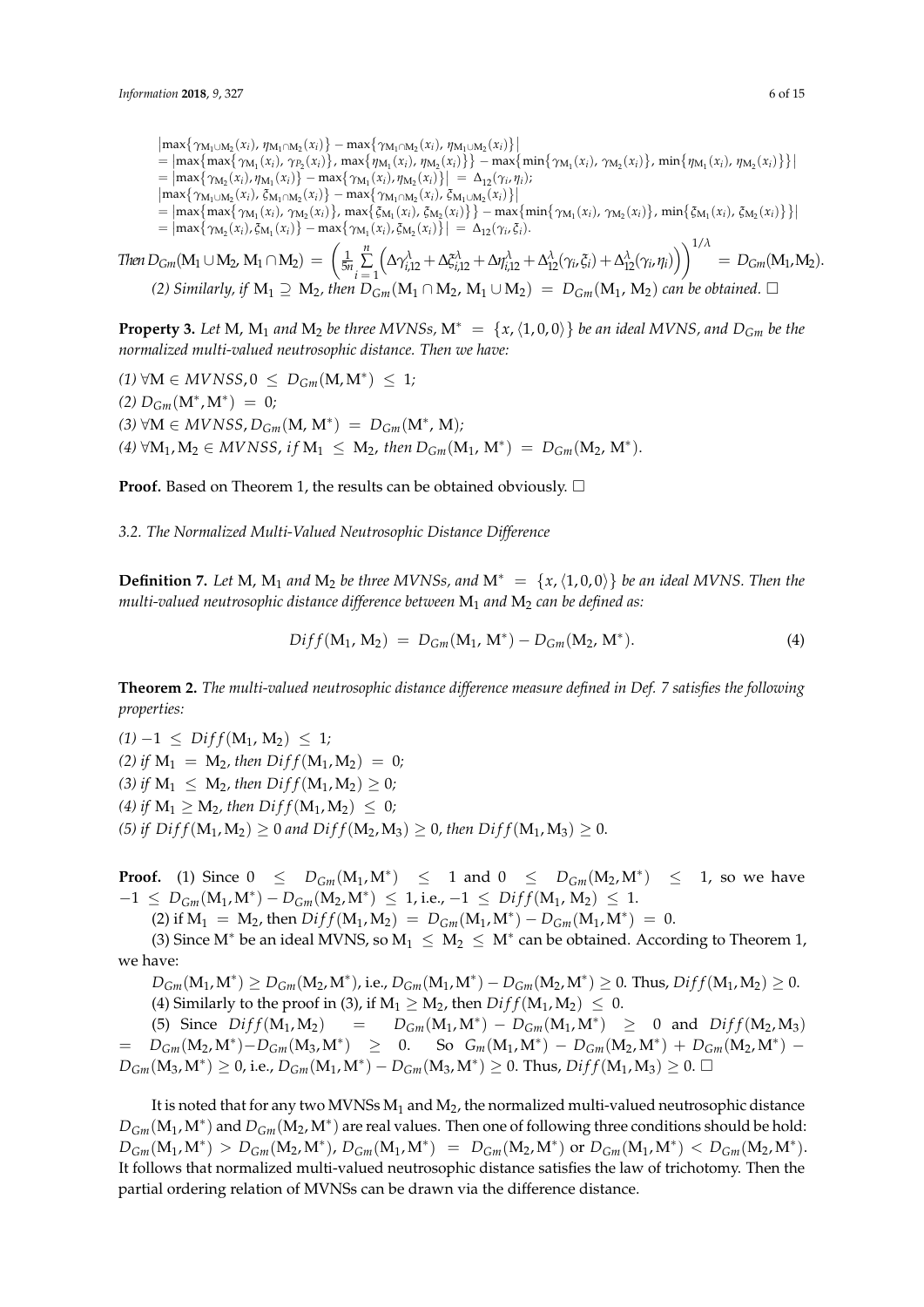$\left| \max \{ \gamma_{M_1 \cup M_2}(x_i), \eta_{M_1 \cap M_2}(x_i) \} - \max \{ \gamma_{M_1 \cap M_2}(x_i), \eta_{M_1 \cup M_2}(x_i) \} \right|$ =  $\left| \max \{ \max \{ \gamma_{M_1}(x_i), \gamma_{P_2}(x_i) \}, \max \{ \eta_{M_1}(x_i), \eta_{M_2}(x_i) \} \} - \max \{ \min \{ \gamma_{M_1}(x_i), \gamma_{M_2}(x_i) \}, \min \{ \eta_{M_1}(x_i), \eta_{M_2}(x_i) \} \} \right|$  $=\left[\max\{\gamma_{M_2}(x_i), \eta_{M_1}(x_i)\}-\max\{\gamma_{M_1}(x_i), \eta_{M_2}(x_i)\}\right]=\Delta_{12}(\gamma_i, \eta_i);$  $\left| \max \{ \gamma_{M_1 \cup M_2}(x_i), \xi_{M_1 \cap M_2}(x_i) \} - \max \{ \gamma_{M_1 \cap M_2}(x_i), \xi_{M_1 \cup M_2}(x_i) \} \right|$ =  $\left| \max \{ \max \{ \gamma_{M_1}(x_i), \gamma_{M_2}(x_i) \}, \max \{ \xi_{M_1}(x_i), \xi_{M_2}(x_i) \} \} - \max \{ \min \{ \gamma_{M_1}(x_i), \gamma_{M_2}(x_i) \}, \min \{ \xi_{M_1}(x_i), \xi_{M_2}(x_i) \} \} \right|$  $=$   $\left| \max \{ \gamma_{M_2}(x_i), \xi_{M_1}(x_i) \} - \max \{ \gamma_{M_1}(x_i), \xi_{M_2}(x_i) \} \right| = \Delta_{12}(\gamma_i, \xi_i).$ 1/*<sup>λ</sup>*

Then 
$$
D_{Gm}(M_1 \cup M_2, M_1 \cap M_2) = \left(\frac{1}{5n} \sum_{i=1}^n \left(\Delta \gamma_{i,12}^\lambda + \Delta \zeta_{i,12}^\lambda + \Delta \eta_{i,12}^\lambda + \Delta_{12}^\lambda (\gamma_i, \zeta_i) + \Delta_{12}^\lambda (\gamma_i, \eta_i)\right)\right)^{1/\lambda} = D_{Gm}(M_1, M_2).
$$
  
(2) Similarly, if  $M_1 \supseteq M_2$ , then  $D_{Gm}(M_1 \cap M_2, M_1 \cup M_2) = D_{Gm}(M_1, M_2)$  can be obtained.  $\Box$ 

**Property 3.** Let M, M<sub>1</sub> and M<sub>2</sub> be three MVNSs,  $M^* = \{x, \langle 1, 0, 0 \rangle\}$  be an ideal MVNS, and  $D_{Gm}$  be the *normalized multi-valued neutrosophic distance. Then we have:*

 $(1) \forall M \in MVNSS, 0 \leq D_{Gm}(M, M^*) \leq 1;$  $(2) D_{Gm}(M^*, M^*) = 0;$ (3) ∀M ∈ *MVNSS*,  $D_{Gm}(M, M^*) = D_{Gm}(M^*, M)$ ;  $(4) \forall M_1, M_2 \in MVNSS, if M_1 \leq M_2, then D_{Gm}(M_1, M^*) = D_{Gm}(M_2, M^*)$ .

**Proof.** Based on Theorem 1, the results can be obtained obviously. □

*3.2. The Normalized Multi-Valued Neutrosophic Distance Difference*

**Definition 7.** Let M, M<sub>1</sub> and M<sub>2</sub> be three MVNSs, and  $M^* = \{x, \langle 1, 0, 0 \rangle\}$  be an ideal MVNS. Then the *multi-valued neutrosophic distance difference between* M<sup>1</sup> *and* M<sup>2</sup> *can be defined as:*

$$
Diff(M_1, M_2) = D_{Gm}(M_1, M^*) - D_{Gm}(M_2, M^*).
$$
 (4)

**Theorem 2.** *The multi-valued neutrosophic distance difference measure defined in Def. 7 satisfies the following properties:*

 $(1) -1 \leq \text{Diff}(M_1, M_2) \leq 1;$ *(2)* if  $M_1 = M_2$ , then  $Diff(M_1, M_2) = 0$ ; (3) if  $M_1 \leq M_2$ , then  $Diff(M_1, M_2) \geq 0$ ; *(4) if*  $M_1 \geq M_2$ , then  $Diff(M_1, M_2) \leq 0$ ; *(5) if Diff*( $M_1, M_2$ )  $\geq 0$  *and Diff*( $M_2, M_3$ )  $\geq 0$ *, then Diff*( $M_1, M_3$ )  $\geq 0$ .

**Proof.** (1) Since  $0 \leq D_{Gm}(M_1, M^*) \leq 1$  and  $0 \leq D_{Gm}(M_2, M^*) \leq 1$ , so we have  $-1 \leq D_{Gm}(M_1, M^*) - D_{Gm}(M_2, M^*) \leq 1$ , i.e.,  $-1 \leq Diff(M_1, M_2) \leq 1$ .

 $(2)$  if  $M_1 = M_2$ , then  $Diff(M_1, M_2) = D_{Gm}(M_1, M^*) - D_{Gm}(M_1, M^*) = 0$ .

(3) Since M<sup>\*</sup> be an ideal MVNS, so  $M_1 \leq M_2 \leq M^*$  can be obtained. According to Theorem 1, we have:

 $D_{Gm}(M_1, M^*) \ge D_{Gm}(M_2, M^*)$ , i.e.,  $D_{Gm}(M_1, M^*) - D_{Gm}(M_2, M^*) \ge 0$ . Thus,  $Diff(M_1, M_2) \ge 0$ . (4) Similarly to the proof in (3), if  $M_1 \ge M_2$ , then  $Diff(M_1, M_2) \le 0$ .

(5) Since  $Diff(M_1, M_2)$  $) - D_{Gm}(M_1, M^*)$  ≥ 0 and *Dif f*(M<sub>2</sub>, M<sub>3</sub>)  $= D_{Gm}(M_2, M^*) - D_{Gm}(M_3, M^*) \ge 0$ . So  $G_m(M_1, M^*) - D_{Gm}(M_2, M^*) + D_{Gm}(M_2, M^*) D_{Gm}(\mathbf{M}_3, \mathbf{M}^*)$  ≥ 0, i.e.,  $D_{Gm}(\mathbf{M}_1, \mathbf{M}^*)$  –  $D_{Gm}(\mathbf{M}_3, \mathbf{M}^*)$  ≥ 0. Thus,  $Diff(\mathbf{M}_1, \mathbf{M}_3)$  ≥ 0. □

It is noted that for any two MVNSs  $M_1$  and  $M_2$ , the normalized multi-valued neutrosophic distance  $D_{Gm}(M_1, M^*)$  and  $D_{Gm}(M_2, M^*)$  are real values. Then one of following three conditions should be hold:  $D_{Gm}(M_1, M^*)$  >  $D_{Gm}(M_2, M^*)$ ,  $D_{Gm}(M_1, M^*)$  =  $D_{Gm}(M_2, M^*)$  or  $D_{Gm}(M_1, M^*)$  <  $D_{Gm}(M_2, M^*)$ . It follows that normalized multi-valued neutrosophic distance satisfies the law of trichotomy. Then the partial ordering relation of MVNSs can be drawn via the difference distance.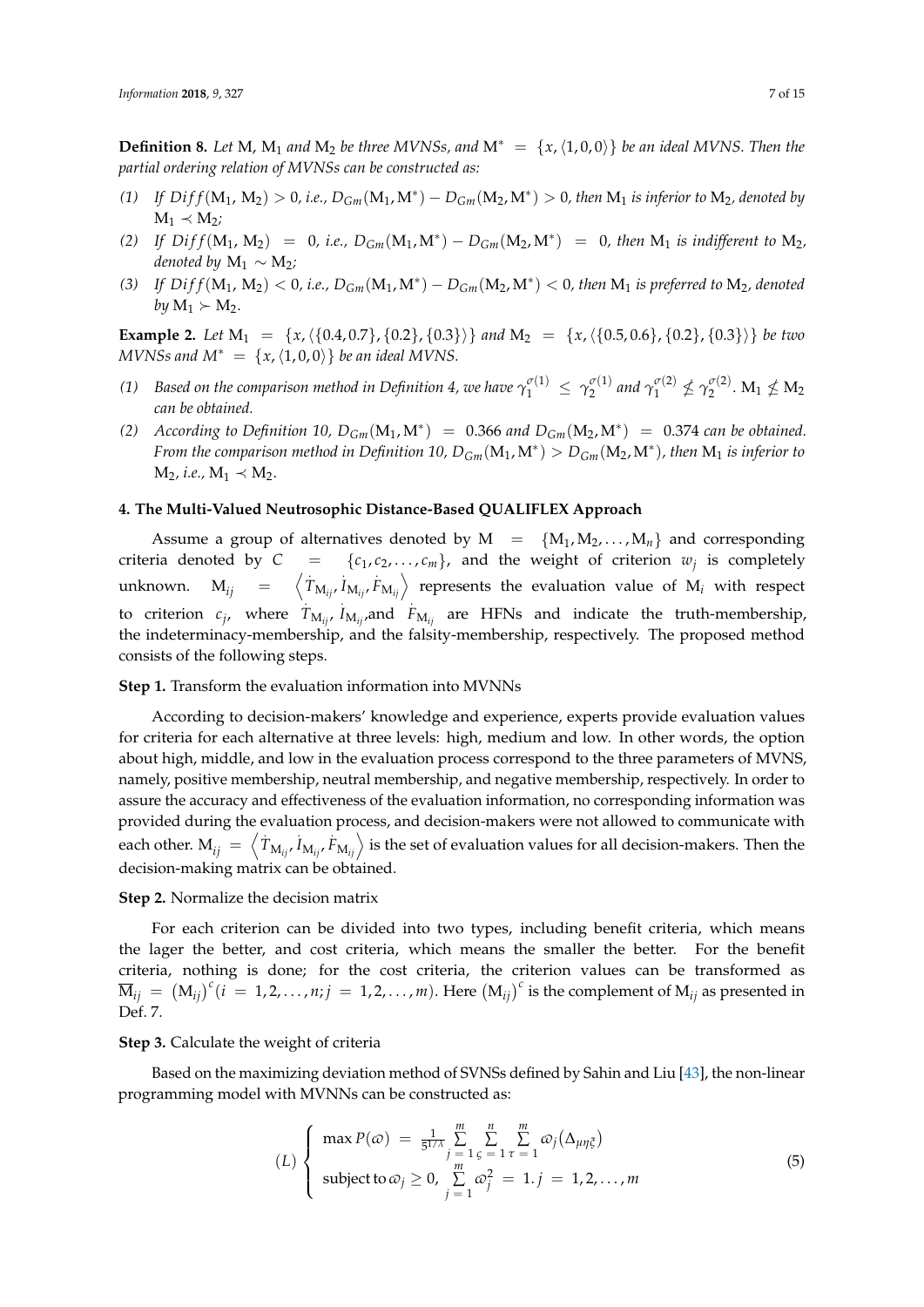**Definition 8.** Let M, M<sub>1</sub> and M<sub>2</sub> be three MVNSs, and  $M^* = \{x, (1, 0, 0)\}\$  be an ideal MVNS. Then the *partial ordering relation of MVNSs can be constructed as:*

- (1) If  $Diff(M_1, M_2) > 0$ , i.e.,  $D_{Gm}(M_1, M^*) D_{Gm}(M_2, M^*) > 0$ , then  $M_1$  is inferior to  $M_2$ , denoted by  $M_1 \prec M_2$ ;
- *(2)* If  $Diff(M_1, M_2) = 0$ , *i.e.*,  $D_{Gm}(M_1, M^*) D_{Gm}(M_2, M^*) = 0$ , then  $M_1$  is indifferent to  $M_2$ , *denoted by*  $M_1 \sim M_2$ *;*
- *(3) If*  $Diff(M_1, M_2) < 0$ , *i.e.*,  $D_{Gm}(M_1, M^*) D_{Gm}(M_2, M^*) < 0$ , then  $M_1$  is preferred to  $M_2$ , denoted *by*  $M_1 \succ M_2$ .

**Example 2.** *Let*  $M_1 = \{x, \{\{0.4, 0.7\}, \{0.2\}, \{0.3\}\}\}$  *and*  $M_2 = \{x, \{\{0.5, 0.6\}, \{0.2\}, \{0.3\}\}\}$  *be two MVNSs and M*<sup>\*</sup> = { $x$ ,  $\langle 1, 0, 0 \rangle$ } *be an ideal MVNS.* 

- *(1) Based on the comparison method in Definition 4, we have*  $\gamma_1^{\sigma(1)} \leq \gamma_2^{\sigma(1)}$  $\frac{\sigma(1)}{2}$  and  $\gamma_1^{\sigma(2)} \nleq \gamma_2^{\sigma(2)}$  $\frac{C^{(2)}}{2}$ . M<sub>1</sub>  $\nleq$  M<sub>2</sub> *can be obtained.*
- *(2) According to Definition 10,*  $D_{Gm}(M_1, M^*)$  = 0.366 *and*  $D_{Gm}(M_2, M^*)$  = 0.374 *can be obtained. From the comparison method in Definition 10, <sup>D</sup>Gm*(M1, M<sup>∗</sup> ) > *DGm*(M2, M<sup>∗</sup> )*, then* M<sup>1</sup> *is inferior to*  $M_2$ *, i.e.*,  $M_1$  ≺  $M_2$ .

# <span id="page-6-0"></span>**4. The Multi-Valued Neutrosophic Distance-Based QUALIFLEX Approach**

Assume a group of alternatives denoted by  $M = \{M_1, M_2, \ldots, M_n\}$  and corresponding criteria denoted by  $C = \{c_1, c_2, \ldots, c_m\}$ , and the weight of criterion  $w_j$  is completely unknown.  $M_{ij} = \left\langle \hat{T}_{M_{ij}}, \hat{I}_{M_{ij}}, \hat{F}_{M_{ij}} \right\rangle$  represents the evaluation value of  $M_i$  with respect to criterion  $c_j$ , where  $T_{M_{ij}}$ ,  $I_{M_{ij}}$ , and  $F_{M_{ij}}$  are HFNs and indicate the truth-membership, the indeterminacy-membership, and the falsity-membership, respectively. The proposed method consists of the following steps.

**Step 1.** Transform the evaluation information into MVNNs

According to decision-makers' knowledge and experience, experts provide evaluation values for criteria for each alternative at three levels: high, medium and low. In other words, the option about high, middle, and low in the evaluation process correspond to the three parameters of MVNS, namely, positive membership, neutral membership, and negative membership, respectively. In order to assure the accuracy and effectiveness of the evaluation information, no corresponding information was provided during the evaluation process, and decision-makers were not allowed to communicate with each other.  $M_{ij} = \left\langle T_{M_{ij'}} I_{M_{ij'}} F_{M_{ij}} \right\rangle$  is the set of evaluation values for all decision-makers. Then the decision-making matrix can be obtained.

**Step 2.** Normalize the decision matrix

For each criterion can be divided into two types, including benefit criteria, which means the lager the better, and cost criteria, which means the smaller the better. For the benefit criteria, nothing is done; for the cost criteria, the criterion values can be transformed as  $\overline{\mathrm{M}}_{ij}~=~\mathrm{(M_{ij})}^c(i~=~1,2,\ldots,n; j~=~1,2,\ldots,m).$  Here  $\mathrm{(M_{ij})}^c$  is the complement of  $\mathrm{M_{ij}}$  as presented in Def. 7.

**Step 3.** Calculate the weight of criteria

Based on the maximizing deviation method of SVNSs defined by Sahin and Liu [\[43\]](#page-14-7), the non-linear programming model with MVNNs can be constructed as:

$$
(L)\begin{cases}\n\max P(\varpi) = \frac{1}{5^{1/\lambda}} \sum_{j=1}^{m} \sum_{\zeta=1}^{n} \sum_{\tau=1}^{m} \varpi_{j}(\Delta_{\mu\eta\xi}) \\
\text{subject to } \varpi_{j} \geq 0, \sum_{j=1}^{m} \varpi_{j}^{2} = 1, j = 1, 2, ..., m\n\end{cases}
$$
\n(5)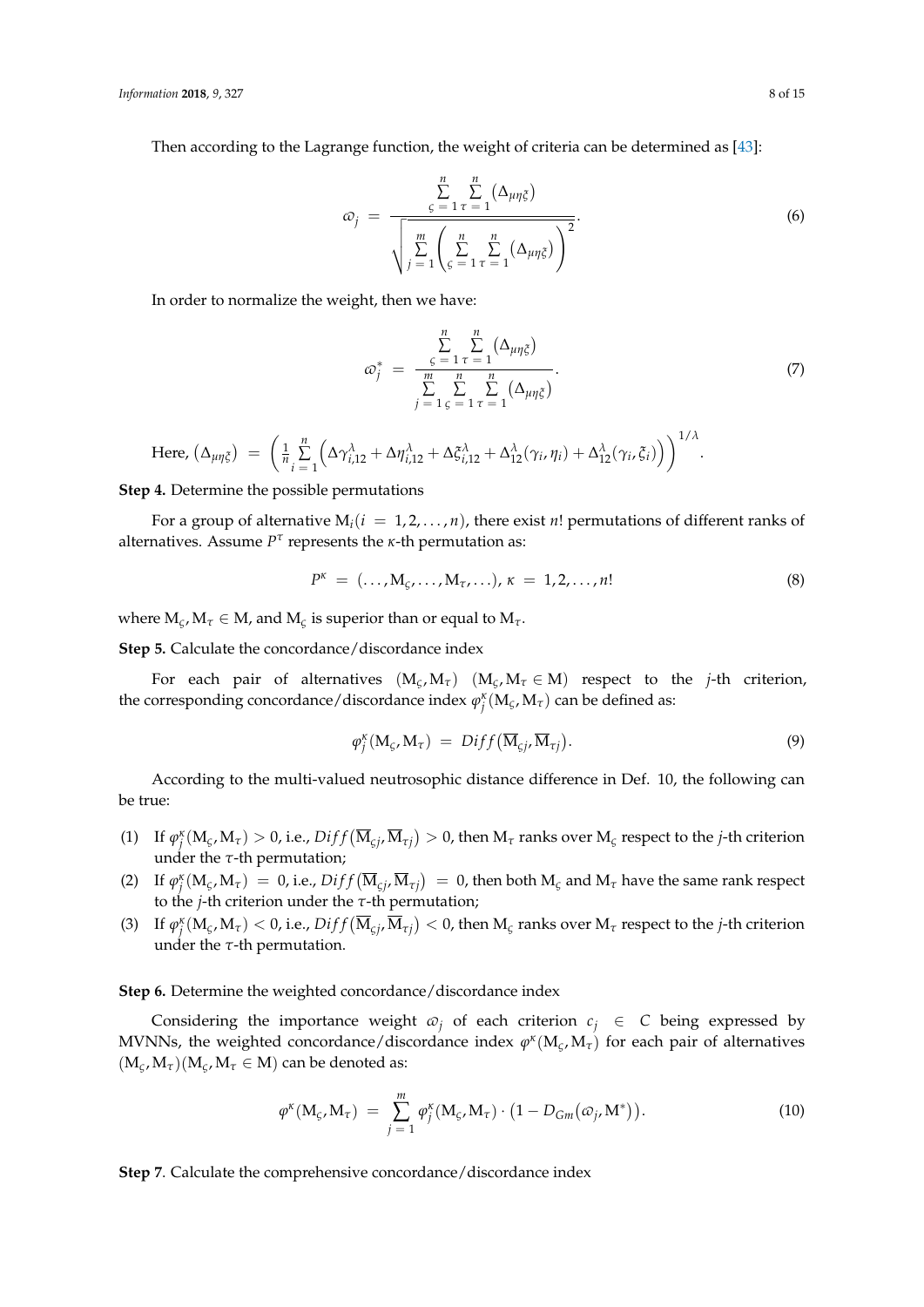Then according to the Lagrange function, the weight of criteria can be determined as [\[43\]](#page-14-7):

$$
\varpi_{j} = \frac{\sum\limits_{\varsigma=1}^{n} \sum\limits_{\tau=1}^{n} (\Delta_{\mu\eta\xi})}{\sqrt{\sum\limits_{j=1}^{m} \left(\sum\limits_{\varsigma=1}^{n} \sum\limits_{\tau=1}^{n} (\Delta_{\mu\eta\xi})\right)^{2}}}.
$$
\n(6)

In order to normalize the weight, then we have:

$$
\varpi_j^* = \frac{\sum\limits_{\varsigma=1}^n \sum\limits_{\tau=1}^n (\Delta_{\mu\eta\xi})}{\sum\limits_{j=1}^m \sum\limits_{\varsigma=1}^n \sum\limits_{\tau=1}^n (\Delta_{\mu\eta\xi})}.
$$
\n(7)

Here, 
$$
(\Delta_{\mu\eta\xi}) = \left(\frac{1}{n} \sum_{i=1}^{n} \left( \Delta \gamma_{i,12}^{\lambda} + \Delta \eta_{i,12}^{\lambda} + \Delta \xi_{i,12}^{\lambda} + \Delta_{12}^{\lambda} (\gamma_i, \eta_i) + \Delta_{12}^{\lambda} (\gamma_i, \xi_i) \right) \right)^{1/\lambda}
$$
.

**Step 4.** Determine the possible permutations

For a group of alternative  $M_i(i = 1, 2, ..., n)$ , there exist *n*! permutations of different ranks of alternatives. Assume *P τ* represents the *κ*-th permutation as:

$$
P^{\kappa} = (\ldots, M_{\varsigma}, \ldots, M_{\tau}, \ldots), \kappa = 1, 2, \ldots, n! \tag{8}
$$

where  $M_c$ ,  $M_\tau \in M$ , and  $M_c$  is superior than or equal to  $M_\tau$ .

**Step 5.** Calculate the concordance/discordance index

For each pair of alternatives  $(M_\varsigma, M_\tau)$   $(M_\varsigma, M_\tau \in M)$  respect to the *j*-th criterion, the corresponding concordance/discordance index  $\varphi_j^k(M_\varsigma, M_\tau)$  can be defined as:

$$
\varphi_j^{\kappa}(\mathbf{M}_{\varsigma}, \mathbf{M}_{\tau}) = Diff(\overline{\mathbf{M}}_{\varsigma j}, \overline{\mathbf{M}}_{\tau j}). \tag{9}
$$

According to the multi-valued neutrosophic distance difference in Def. 10, the following can be true:

- (1) If  $\varphi_j^{\kappa}(\mathbf{M}_{\varsigma},\mathbf{M}_{\tau}) > 0$ , i.e.,  $Diff(\overline{\mathbf{M}}_{\varsigma j},\overline{\mathbf{M}}_{\tau j}) > 0$ , then  $\mathbf{M}_{\tau}$  ranks over  $\mathbf{M}_{\varsigma}$  respect to the *j*-th criterion under the *τ*-th permutation;
- (2) If  $\varphi_j^{\kappa}(\mathbf{M}_{\varsigma},\mathbf{M}_{\tau})~=~0$ , i.e.,  $Diff(\overline{\mathbf{M}}_{\varsigma j},\overline{\mathbf{M}}_{\tau j})~=~0$ , then both  $\mathbf{M}_{\varsigma}$  and  $\mathbf{M}_{\tau}$  have the same rank respect to the *j*-th criterion under the *τ*-th permutation;
- (3) If  $\varphi_j^{\kappa}(\mathbf{M}_{\varsigma},\mathbf{M}_{\tau}) < 0$ , i.e.,  $Diff(\overline{\mathbf{M}}_{\varsigma j},\overline{\mathbf{M}}_{\tau j}) < 0$ , then  $\mathbf{M}_{\varsigma}$  ranks over  $\mathbf{M}_{\tau}$  respect to the *j*-th criterion under the *τ*-th permutation.

**Step 6.** Determine the weighted concordance/discordance index

Considering the importance weight  $\varphi_j$  of each criterion  $c_j \in C$  being expressed by MVNNs, the weighted concordance/discordance index *ϕ κ* (M*ς*, M*τ*) for each pair of alternatives  $(M_c, M_\tau)(M_c, M_\tau \in M)$  can be denoted as:

$$
\varphi^{\kappa}(\mathbf{M}_{\varsigma}, \mathbf{M}_{\tau}) = \sum_{j=1}^{m} \varphi_{j}^{\kappa}(\mathbf{M}_{\varsigma}, \mathbf{M}_{\tau}) \cdot (1 - D_{Gm}(\varpi_{j}, \mathbf{M}^{*})). \tag{10}
$$

**Step 7**. Calculate the comprehensive concordance/discordance index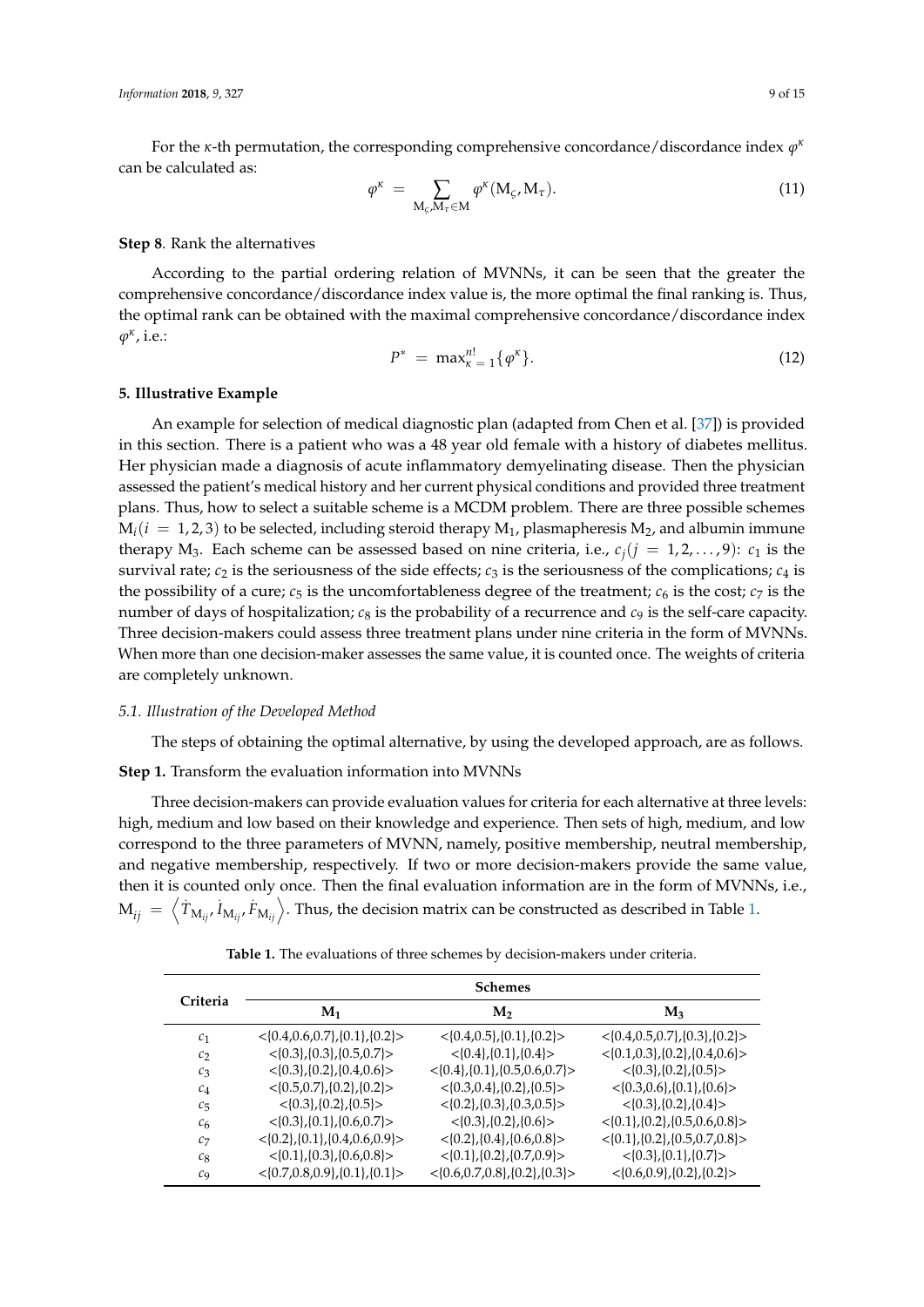For the *κ*-th permutation, the corresponding comprehensive concordance/discordance index *ϕ κ* can be calculated as:

$$
\varphi^{\kappa} = \sum_{\mathbf{M}_{\varsigma}, \mathbf{M}_{\tau} \in \mathbf{M}} \varphi^{\kappa}(\mathbf{M}_{\varsigma}, \mathbf{M}_{\tau}). \tag{11}
$$

**Step 8**. Rank the alternatives

According to the partial ordering relation of MVNNs, it can be seen that the greater the comprehensive concordance/discordance index value is, the more optimal the final ranking is. Thus, the optimal rank can be obtained with the maximal comprehensive concordance/discordance index *ϕ κ* , i.e.:

$$
P^* = \max_{\kappa=1}^{n!} \{ \varphi^{\kappa} \}. \tag{12}
$$

### <span id="page-8-0"></span>**5. Illustrative Example**

An example for selection of medical diagnostic plan (adapted from Chen et al. [\[37\]](#page-14-8)) is provided in this section. There is a patient who was a 48 year old female with a history of diabetes mellitus. Her physician made a diagnosis of acute inflammatory demyelinating disease. Then the physician assessed the patient's medical history and her current physical conditions and provided three treatment plans. Thus, how to select a suitable scheme is a MCDM problem. There are three possible schemes  $M_i(i = 1, 2, 3)$  to be selected, including steroid therapy  $M_1$ , plasmapheresis  $M_2$ , and albumin immune therapy M<sub>3</sub>. Each scheme can be assessed based on nine criteria, i.e.,  $c_j$   $(j = 1, 2, ..., 9)$ :  $c_1$  is the survival rate;  $c_2$  is the seriousness of the side effects;  $c_3$  is the seriousness of the complications;  $c_4$  is the possibility of a cure;  $c_5$  is the uncomfortableness degree of the treatment;  $c_6$  is the cost;  $c_7$  is the number of days of hospitalization;  $c_8$  is the probability of a recurrence and  $c_9$  is the self-care capacity. Three decision-makers could assess three treatment plans under nine criteria in the form of MVNNs. When more than one decision-maker assesses the same value, it is counted once. The weights of criteria are completely unknown.

#### *5.1. Illustration of the Developed Method*

The steps of obtaining the optimal alternative, by using the developed approach, are as follows.

**Step 1.** Transform the evaluation information into MVNNs

Three decision-makers can provide evaluation values for criteria for each alternative at three levels: high, medium and low based on their knowledge and experience. Then sets of high, medium, and low correspond to the three parameters of MVNN, namely, positive membership, neutral membership, and negative membership, respectively. If two or more decision-makers provide the same value, then it is counted only once. Then the final evaluation information are in the form of MVNNs, i.e.,  $M_{ij}\ =\ \left<\dot{T}_{\mathrm{M}_{ij}},\dot{I}_{\mathrm{M}_{ij}},\dot{F}_{\mathrm{M}_{ij}}\right>$  . Thus, the decision matrix can be constructed as described in Table [1.](#page-8-1)

| <b>Table 1.</b> The evaluations of three schemes by decision-makers under criteria. |  |
|-------------------------------------------------------------------------------------|--|
|-------------------------------------------------------------------------------------|--|

<span id="page-8-1"></span>

|                |                                                   | <b>Schemes</b>                 |                                                         |
|----------------|---------------------------------------------------|--------------------------------|---------------------------------------------------------|
| Criteria       | $M_1$                                             | M <sub>2</sub>                 | $M_3$                                                   |
| c <sub>1</sub> | $\langle 0.4, 0.6, 0.7 \rangle, \{0.1\}, \{0.2\}$ | $<$ {0.4,0.5},{0.1},{0.2}>     | $<$ {0.4,0.5,0.7},{0.3},{0.2}>                          |
| c <sub>2</sub> | $<$ {0.3},{0.3},{0.5,0.7} >                       | $<$ {0.4},{0.1},{0.4} >        | $\langle 0.1, 0.3 \rangle, \{0.2\}, \{0.4, 0.6\}$       |
| $c_3$          | $<$ {0.3},{0.2},{0.4,0.6} >                       | $<$ {0.4},{0.1},{0.5,0.6,0.7}> | $<$ {0.3},{0.2},{0.5} >                                 |
| C <sub>4</sub> | $<$ {0.5,0.7},{0.2},{0.2}>                        | $<$ {0.3,0.4},{0.2},{0.5} >    | $<$ {0.3,0.6},{0.1},{0.6} >                             |
| $c_{5}$        | $<$ {0.3},{0.2},{0.5} >                           | $<$ {0.2},{0.3},{0.3,0.5} >    | $<$ {0.3},{0.2},{0.4}>                                  |
| c <sub>6</sub> | $<$ {0.3},{0.1},{0.6,0.7} >                       | $<$ {0.3},{0.2},{0.6} >        | $\langle 0.1 \rangle$ , $\{0.2\}$ , $\{0.5, 0.6, 0.8\}$ |
| c <sub>7</sub> | $<$ {0.2},{0.1},{0.4,0.6,0.9}>                    | $<$ {0.2},{0.4},{0.6,0.8}>     | $<$ {0.1},{0.2},{0.5,0.7,0.8}>                          |
| $c_8$          | $\langle 0.1 \rangle, \{0.3\}, \{0.6, 0.8\}$      | $<$ {0.1},{0.2},{0.7,0.9} >    | $<$ {0.3},{0.1},{0.7}>                                  |
| c <sub>9</sub> | $\langle 0.7, 0.8, 0.9 \rangle, \{0.1\}, \{0.1\}$ | $<$ {0.6,0.7,0.8},{0.2},{0.3}> | $\langle 0.6, 0.9 \rangle, \{0.2\}, \{0.2\} \rangle$    |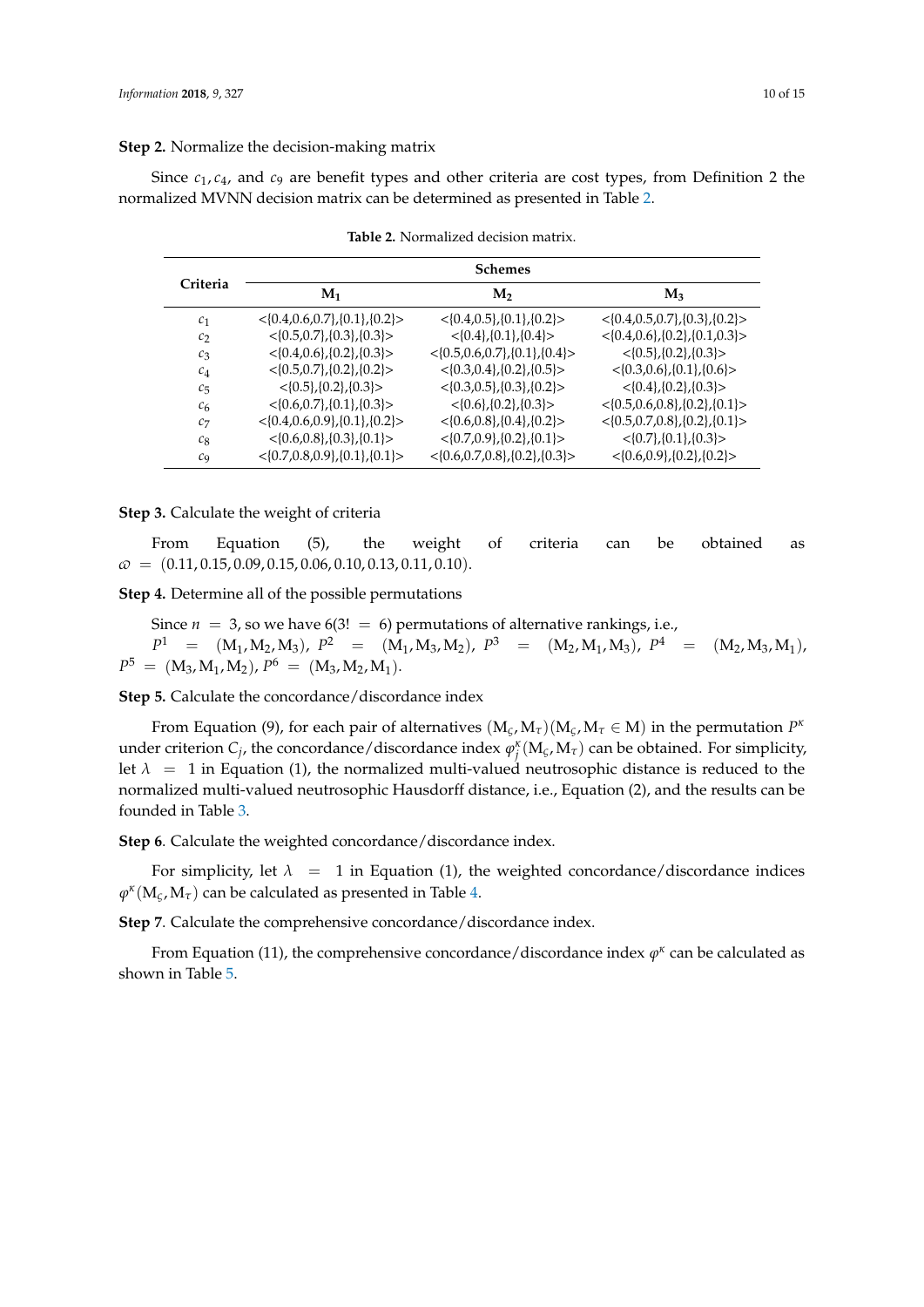# **Step 2.** Normalize the decision-making matrix

<span id="page-9-0"></span>Since *c*1, *c*4, and *c*<sup>9</sup> are benefit types and other criteria are cost types, from Definition 2 the normalized MVNN decision matrix can be determined as presented in Table [2.](#page-9-0)

|                |                                                   | <b>Schemes</b>                                    |                                                           |
|----------------|---------------------------------------------------|---------------------------------------------------|-----------------------------------------------------------|
| Criteria       | $M_1$                                             | M <sub>2</sub>                                    | $M_3$                                                     |
| c <sub>1</sub> | $\langle 0.4, 0.6, 0.7 \rangle, \{0.1\}, \{0.2\}$ | $<$ {0.4,0.5},{0.1},{0.2}>                        | $\langle 0.4, 0.5, 0.7 \rangle, \{0.3\}, \{0.2\} \rangle$ |
| $c_2$          | $\langle 0.5, 0.7 \rangle, \{0.3\}, \{0.3\}$      | $<$ {0.4},{0.1},{0.4} >                           | $\langle 0.4, 0.6 \rangle, \{0.2\}, \{0.1, 0.3\}$         |
| $c_3$          | $\langle 0.4, 0.6 \rangle, \{0.2\}, \{0.3\}$      | $\langle 0.5, 0.6, 0.7 \rangle, \{0.1\}, \{0.4\}$ | $<$ {0.5},{0.2},{0.3}>                                    |
| $c_4$          | $<$ {0.5,0.7},{0.2},{0.2}>                        | $<$ {0.3,0.4},{0.2},{0.5} >                       | $\langle 0.3, 0.6 \rangle, \{0.1\}, \{0.6\}$              |
| $c_{5}$        | $<$ {0.5},{0.2},{0.3} >                           | $\langle 0.3, 0.5 \rangle, \{0.3\}, \{0.2\}$      | $<$ {0.4},{0.2},{0.3} >                                   |
| c <sub>6</sub> | $<$ {0.6,0.7},{0.1},{0.3} >                       | $<$ {0.6},{0.2},{0.3} >                           | $<$ {0.5,0.6,0.8},{0.2},{0.1} >                           |
| c <sub>7</sub> | $\langle 0.4, 0.6, 0.9 \rangle, \{0.1\}, \{0.2\}$ | $\langle 0.6, 0.8 \rangle, \{0.4\}, \{0.2\}$      | $\langle 0.5, 0.7, 0.8 \rangle, \{0.2\}, \{0.1\}$         |
| $c_8$          | $\langle 0.6, 0.8 \rangle, \{0.3\}, \{0.1\}$      | $\langle 0.7, 0.9 \rangle, \{0.2\}, \{0.1\}$      | $<$ {0.7},{0.1},{0.3} >                                   |
| CQ             | $\langle 0.7, 0.8, 0.9 \rangle, \{0.1\}, \{0.1\}$ | $\langle 0.6, 0.7, 0.8 \rangle, \{0.2\}, \{0.3\}$ | $\langle 0.6, 0.9 \rangle, \{0.2\}, \{0.2\}$              |

**Table 2.** Normalized decision matrix.

**Step 3.** Calculate the weight of criteria

From Equation (5), the weight of criteria can be obtained as  $\varphi = (0.11, 0.15, 0.09, 0.15, 0.06, 0.10, 0.13, 0.11, 0.10).$ 

**Step 4.** Determine all of the possible permutations

Since  $n = 3$ , so we have  $6(3! = 6)$  permutations of alternative rankings, i.e.,  $P^1$  =  $(M_1, M_2, M_3)$ ,  $P^2$  =  $(M_1, M_3, M_2)$ ,  $P^3$  =  $(M_2, M_1, M_3)$ ,  $P^4$  =  $(M_2, M_3, M_1)$ ,  $P^5 = (M_3, M_1, M_2), P^6 = (M_3, M_2, M_1).$ 

**Step 5.** Calculate the concordance/discordance index

From Equation (9), for each pair of alternatives  $(M_\varsigma, M_\tau) (M_\varsigma, M_\tau \in M)$  in the permutation  $P^k$ under criterion  $C_j$ , the concordance/discordance index  $\varphi_j^k(M_\zeta, M_\tau)$  can be obtained. For simplicity, let  $\lambda = 1$  in Equation (1), the normalized multi-valued neutrosophic distance is reduced to the normalized multi-valued neutrosophic Hausdorff distance, i.e., Equation (2), and the results can be founded in Table [3.](#page-10-0)

**Step 6**. Calculate the weighted concordance/discordance index.

For simplicity, let  $\lambda = 1$  in Equation (1), the weighted concordance/discordance indices  $\varphi^{\kappa}(\rm M_{\cal G}, \rm M_{\tau})$  can be calculated as presented in Table [4.](#page-10-1)

**Step 7**. Calculate the comprehensive concordance/discordance index.

From Equation (11), the comprehensive concordance/discordance index *ϕ κ* can be calculated as shown in Table [5.](#page-10-2)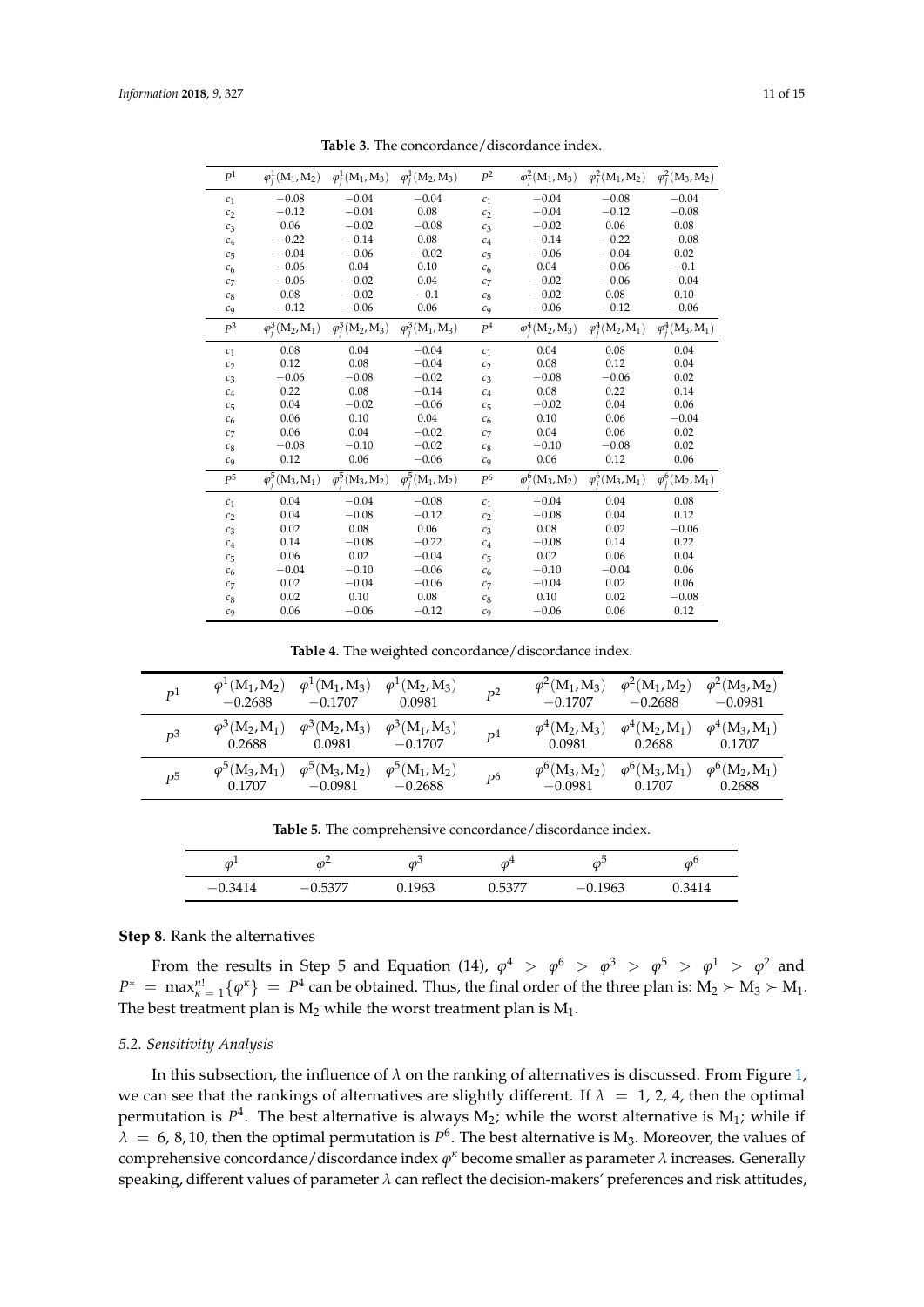<span id="page-10-0"></span>

| p <sub>1</sub> | $\varphi_i^1(M_1, M_2)$ | $\varphi^1_i(M_1, M_3)$ | $\varphi_i^1(M_2, M_3)$ | $P^2$          |                        | $\varphi_i^2(M_1, M_3)$ $\varphi_i^2(M_1, M_2)$ | $\varphi_i^2(M_3, M_2)$ |
|----------------|-------------------------|-------------------------|-------------------------|----------------|------------------------|-------------------------------------------------|-------------------------|
| c <sub>1</sub> | $-0.08$                 | $-0.04$                 | $-0.04$                 | c <sub>1</sub> | $-0.04$                | $-0.08$                                         | $-0.04$                 |
| c <sub>2</sub> | $-0.12$                 | $-0.04$                 | 0.08                    | c <sub>2</sub> | $-0.04$                | $-0.12$                                         | $-0.08$                 |
| c <sub>3</sub> | 0.06                    | $-0.02$                 | $-0.08$                 | c <sub>3</sub> | $-0.02$                | 0.06                                            | 0.08                    |
| c <sub>4</sub> | $-0.22$                 | $-0.14$                 | 0.08                    | c <sub>4</sub> | $-0.14$                | $-0.22$                                         | $-0.08$                 |
| $c_{5}$        | $-0.04$                 | $-0.06$                 | $-0.02$                 | $c_{5}$        | $-0.06$                | $-0.04$                                         | 0.02                    |
| c <sub>6</sub> | $-0.06$                 | 0.04                    | 0.10                    | c <sub>6</sub> | 0.04                   | $-0.06$                                         | $-0.1$                  |
| c <sub>7</sub> | $-0.06$                 | $-0.02$                 | 0.04                    | c <sub>7</sub> | $-0.02$                | $-0.06$                                         | $-0.04$                 |
| $c_8$          | 0.08                    | $-0.02$                 | $-0.1$                  | $c_8$          | $-0.02$                | 0.08                                            | 0.10                    |
| CQ             | $-0.12$                 | $-0.06$                 | 0.06                    | CQ             | $-0.06$                | $-0.12$                                         | $-0.06$                 |
| $\mathbb{P}^3$ | $\varphi_i^3(M_2, M_1)$ | $\varphi^3_i(M_2, M_3)$ | $\varphi_i^3(M_1, M_3)$ | $P^4$          | $\varphi^4_i(M_2,M_3)$ | $\varphi_i^4(M_2, M_1)$                         | $\varphi_i^4(M_3, M_1)$ |
| $c_1$          | 0.08                    | 0.04                    | $-0.04$                 | c <sub>1</sub> | 0.04                   | 0.08                                            | 0.04                    |
| c <sub>2</sub> | 0.12                    | 0.08                    | $-0.04$                 | c <sub>2</sub> | 0.08                   | 0.12                                            | 0.04                    |
| c <sub>3</sub> | $-0.06$                 | $-0.08$                 | $-0.02$                 | $c_3$          | $-0.08$                | $-0.06$                                         | 0.02                    |
| c <sub>4</sub> | 0.22                    | 0.08                    | $-0.14$                 | $c_4$          | 0.08                   | 0.22                                            | 0.14                    |
| $c_{5}$        | 0.04                    | $-0.02$                 | $-0.06$                 | $c_{5}$        | $-0.02$                | 0.04                                            | 0.06                    |
| c <sub>6</sub> | 0.06                    | 0.10                    | 0.04                    | c <sub>6</sub> | 0.10                   | 0.06                                            | $-0.04$                 |
| c <sub>7</sub> | 0.06                    | 0.04                    | $-0.02$                 | c <sub>7</sub> | 0.04                   | 0.06                                            | 0.02                    |
| $c_8$          | $-0.08$                 | $-0.10$                 | $-0.02$                 | $c_8$          | $-0.10$                | $-0.08$                                         | 0.02                    |
| C <sub>9</sub> | 0.12                    | 0.06                    | $-0.06$                 | C <sub>Q</sub> | 0.06                   | 0.12                                            | 0.06                    |
| p <sub>5</sub> | $\varphi_i^5(M_3, M_1)$ | $\varphi^5_i(M_3,M_2)$  | $\varphi_i^5(M_1, M_2)$ | P <sub>6</sub> |                        | $\varphi_i^6(M_3, M_2)$ $\varphi_i^6(M_3, M_1)$ | $\varphi_i^6(M_2, M_1)$ |
| c <sub>1</sub> | 0.04                    | $-0.04$                 | $-0.08$                 | c <sub>1</sub> | $-0.04$                | 0.04                                            | 0.08                    |
| c <sub>2</sub> | 0.04                    | $-0.08$                 | $-0.12$                 | c <sub>2</sub> | $-0.08$                | 0.04                                            | 0.12                    |
| $c_3$          | 0.02                    | 0.08                    | 0.06                    | c <sub>3</sub> | 0.08                   | 0.02                                            | $-0.06$                 |
| c <sub>4</sub> | 0.14                    | $-0.08$                 | $-0.22$                 | c <sub>4</sub> | $-0.08$                | 0.14                                            | 0.22                    |
| $c_{5}$        | 0.06                    | 0.02                    | $-0.04$                 | $c_{5}$        | 0.02                   | 0.06                                            | 0.04                    |
| c <sub>6</sub> | $-0.04$                 | $-0.10$                 | $-0.06$                 | c <sub>6</sub> | $-0.10$                | $-0.04$                                         | 0.06                    |
| c <sub>7</sub> | 0.02                    | $-0.04$                 | $-0.06$                 | c <sub>7</sub> | $-0.04$                | 0.02                                            | 0.06                    |
| $c_8$          | 0.02                    | 0.10                    | 0.08                    | $c_8$          | 0.10                   | 0.02                                            | $-0.08$                 |
| C <sub>9</sub> | 0.06                    | $-0.06$                 | $-0.12$                 | $c_{9}$        | $-0.06$                | 0.06                                            | 0.12                    |

**Table 3.** The concordance/discordance index.

**Table 4.** The weighted concordance/discordance index.

<span id="page-10-1"></span>

| p <sub>1</sub> | $\varphi^1(M_1, M_2)$<br>$-0.2688$ | $\varphi^1(M_1,M_3)$<br>$-0.1707$ | $\varphi^1(M_2, M_3)$<br>0.0981    | $D^2$          | $\varphi^2(M_1,M_3)$<br>$-0.1707$ | $\varphi^2(M_1, M_2)$<br>$-0.2688$ | $\varphi^2(M_3, M_2)$<br>$-0.0981$ |
|----------------|------------------------------------|-----------------------------------|------------------------------------|----------------|-----------------------------------|------------------------------------|------------------------------------|
| $D^3$          | $\varphi^3(M_2,M_1)$<br>0.2688     | $\varphi^3(M_2,M_3)$<br>0.0981    | $\varphi^3(M_1, M_3)$<br>$-0.1707$ | D <sup>4</sup> | $\varphi^4(M_2,M_3)$<br>0.0981    | $\varphi^4(M_2,M_1)$<br>0.2688     | $\varphi^4(M_3,M_1)$<br>0.1707     |
| $P^5$          | $\varphi^{5}(M_3, M_1)$<br>0.1707  | $\varphi^5(M_3,M_2)$<br>$-0.0981$ | $\varphi^5(M_1,M_2)$<br>$-0.2688$  | p <sub>6</sub> | $\varphi^6(M_3,M_2)$<br>$-0.0981$ | $\varphi^6(M_3,M_1)$<br>0.1707     | $\varphi^6(M_2, M_1)$<br>0.2688    |

**Table 5.** The comprehensive concordance/discordance index.

<span id="page-10-2"></span>

| $\omega$  | $\omega^2$ | $\omega^{\circ}$ | $\omega$ | $\omega$ | $\omega^{\circ}$ |
|-----------|------------|------------------|----------|----------|------------------|
| $-0.3414$ | 5277       | 0.1963           | 0.5377   | .1963    | ገ.3414           |

# **Step 8**. Rank the alternatives

From the results in Step 5 and Equation (14),  $\varphi^4$  >  $\varphi^6$  >  $\varphi^3$  >  $\varphi^5$  >  $\varphi^1$  >  $\varphi^2$  and  $P^* = \max_{k=1}^n {\varphi^k} = P^4$  can be obtained. Thus, the final order of the three plan is:  $M_2 \succ M_3 \succ M_1$ . The best treatment plan is  $M_2$  while the worst treatment plan is  $M_1$ .

### *5.2. Sensitivity Analysis*

In this subsection, the influence of *λ* on the ranking of alternatives is discussed. From Figure [1,](#page-11-0) we can see that the rankings of alternatives are slightly different. If  $\lambda = 1, 2, 4$ , then the optimal permutation is  $P^4$ . The best alternative is always  $M_2$ ; while the worst alternative is  $M_1$ ; while if  $\lambda~=~$  6, 8, 10, then the optimal permutation is  $P^6.$  The best alternative is M<sub>3</sub>. Moreover, the values of comprehensive concordance/discordance index *ϕ <sup>κ</sup>* become smaller as parameter *λ* increases. Generally speaking, different values of parameter *λ* can reflect the decision-makers' preferences and risk attitudes,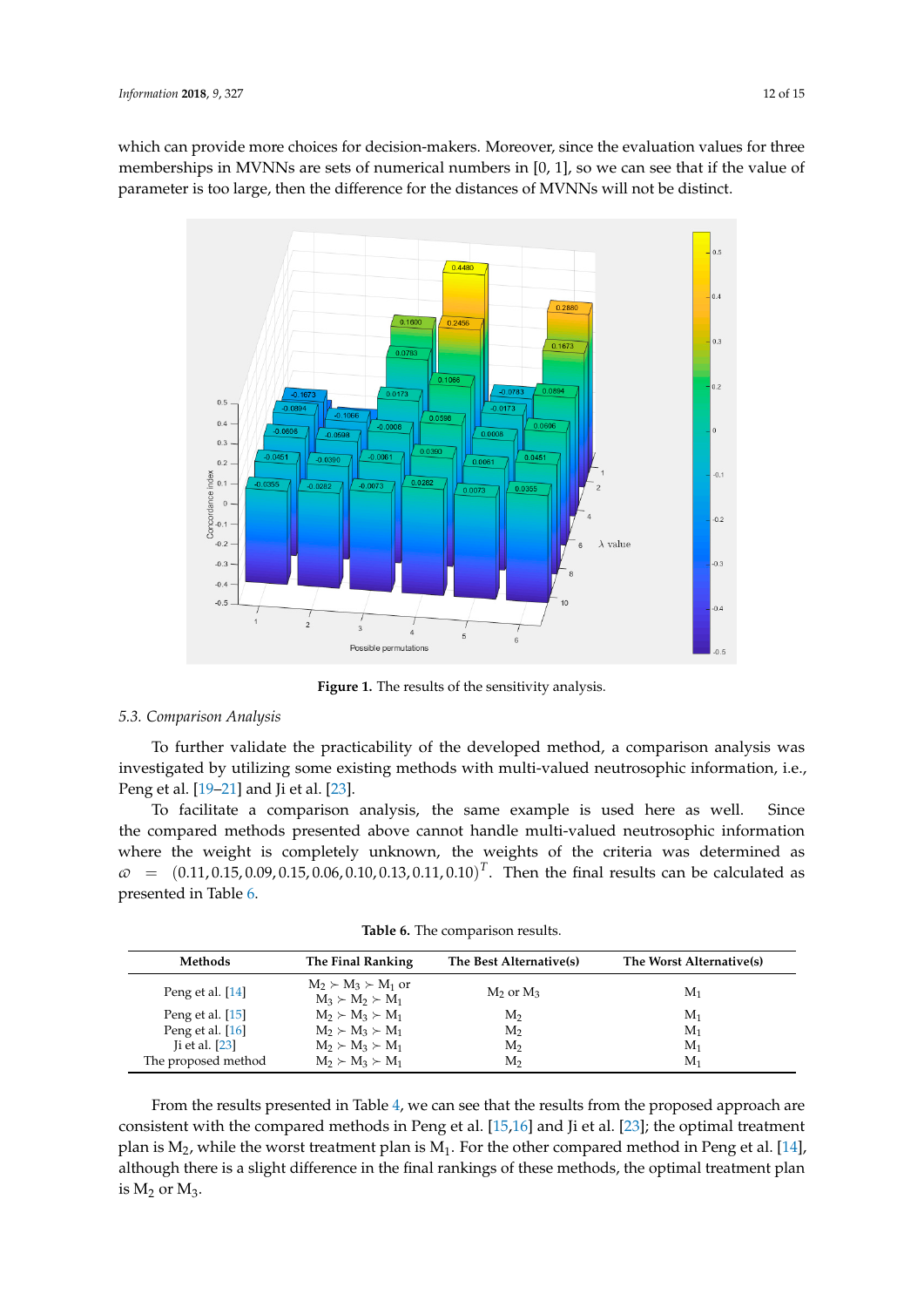which can provide more choices for decision-makers. Moreover, since the evaluation values for three memberships in MVNNs are sets of numerical numbers in [0, 1], so we can see that if the value of parameter is too large*,* then the difference for the distances of MVNNs will not be distinct.

<span id="page-11-0"></span>

**Figure 1.** The results of the sensitivity analysis. **Figure 1.** The results of the sensitivity analysis.

# *5.3. Comparison Analysis 5.3. Comparison Analysis*

To further values of the procedure validate the procedure of the developed method, a comparison and the procedure of the set of the developed method, a comparison and the set of the set of the set of the set of the set of investigated by utilizing some existing methods with multi-valued neutrosophic information, i.e., investigated by utilizing some existing methods with multi-valued neutrosophic information, i.e., To further validate the practicability of the developed method, a comparison analysis was Peng et al. [\[19–](#page-13-11)[21\]](#page-13-22) and Ji et al. [\[23\]](#page-13-13).

To facilitate a comparison analysis, the same example is used here as well. Since To facilitate a comparison analysis, the same example is used here as well. Since the compared the compared methods presented above cannot handle multi-valued neutrosophic information where the weight is completely unknown, the weights of the criteria was determined as complete the weight of the complete  $\gamma$  and  $\gamma$  and  $\gamma$  and  $\gamma$  and  $\gamma$  and  $\gamma$  and  $\gamma$  and  $\gamma$  and  $\gamma$  and  $\gamma$  and  $\gamma$  and  $\gamma$  and  $\gamma$  and  $\gamma$  and  $\gamma$  and  $\gamma$  and  $\gamma$  and  $\gamma$  and  $\gamma$  and  $\gamma$  and  $\gamma$   $\varpi = (0.11, 0.15, 0.09, 0.15, 0.06, 0.10, 0.13, 0.11, 0.10)^T$ . Then the final results can be calculated as presented in Table 6 presented in Table [6.](#page-11-1)

| <b>Table 6.</b> The comparison results. |  |  |  |  |
|-----------------------------------------|--|--|--|--|
|-----------------------------------------|--|--|--|--|

<span id="page-11-1"></span>

| <b>Methods</b>                      | The Final Ranking                                         | The Best Alternative(s) | The Worst Alternative(s) |
|-------------------------------------|-----------------------------------------------------------|-------------------------|--------------------------|
| Peng et al. [14]                    | $M_2 \succ M_3 \succ M_1$ or<br>$M_3 \succ M_2 \succ M_1$ | $M_2$ or $M_3$          | $M_1$                    |
| Peng et al. $[15]$                  | $M_2 \succ M_3 \succ M_1$                                 | M2                      | $M_1$                    |
| Peng et al. [16]                    | $M_2 \succ M_3 \succ M_1$                                 | M2                      | $M_1$                    |
| $\left[$ i et al. $\left[23\right]$ | $M_2 \succ M_3 \succ M_1$                                 | M2                      | $M_1$                    |
| The proposed method                 | $M_2 \succ M_3 \succ M_1$                                 | M2                      | $M_1$                    |

From the results presented in Table [4,](#page-10-1) we can see that the results from the proposed approach are consistent with the compared methods in Peng et al.  $[15,16]$  $[15,16]$  and Ji et al.  $[23]$ ; the optimal treatment plan is  $M_2$ , while the worst treatment plan is  $M_1$ . For the other compared method in Peng et al. [\[14\]](#page-13-6),  $\mathbf{p}_2$  or  $\mathbf{M}_3$ . although there is a slight difference in the final rankings of these methods, the optimal treatment plan is  $M_2$  or  $M_3$ .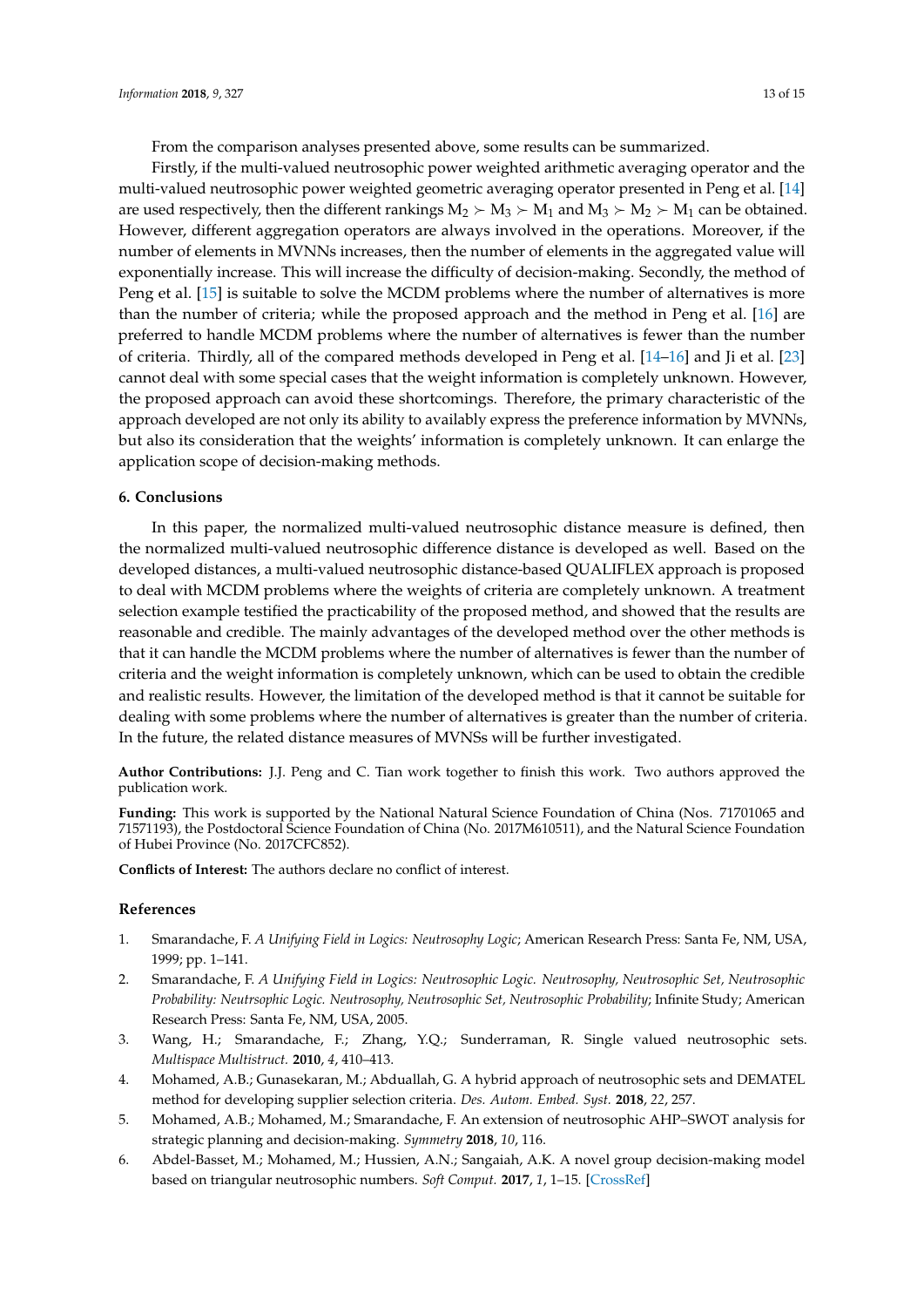From the comparison analyses presented above, some results can be summarized.

Firstly, if the multi-valued neutrosophic power weighted arithmetic averaging operator and the multi-valued neutrosophic power weighted geometric averaging operator presented in Peng et al. [\[14\]](#page-13-6) are used respectively, then the different rankings  $M_2 \succ M_3 \succ M_1$  and  $M_3 \succ M_2 \succ M_1$  can be obtained. However, different aggregation operators are always involved in the operations. Moreover, if the number of elements in MVNNs increases, then the number of elements in the aggregated value will exponentially increase. This will increase the difficulty of decision-making. Secondly, the method of Peng et al. [\[15\]](#page-13-7) is suitable to solve the MCDM problems where the number of alternatives is more than the number of criteria; while the proposed approach and the method in Peng et al. [\[16\]](#page-13-8) are preferred to handle MCDM problems where the number of alternatives is fewer than the number of criteria. Thirdly, all of the compared methods developed in Peng et al. [\[14–](#page-13-6)[16\]](#page-13-8) and Ji et al. [\[23\]](#page-13-13) cannot deal with some special cases that the weight information is completely unknown. However, the proposed approach can avoid these shortcomings. Therefore, the primary characteristic of the approach developed are not only its ability to availably express the preference information by MVNNs, but also its consideration that the weights' information is completely unknown. It can enlarge the application scope of decision-making methods.

### <span id="page-12-3"></span>**6. Conclusions**

In this paper, the normalized multi-valued neutrosophic distance measure is defined, then the normalized multi-valued neutrosophic difference distance is developed as well. Based on the developed distances, a multi-valued neutrosophic distance-based QUALIFLEX approach is proposed to deal with MCDM problems where the weights of criteria are completely unknown. A treatment selection example testified the practicability of the proposed method, and showed that the results are reasonable and credible. The mainly advantages of the developed method over the other methods is that it can handle the MCDM problems where the number of alternatives is fewer than the number of criteria and the weight information is completely unknown, which can be used to obtain the credible and realistic results. However, the limitation of the developed method is that it cannot be suitable for dealing with some problems where the number of alternatives is greater than the number of criteria. In the future, the related distance measures of MVNSs will be further investigated.

**Author Contributions:** J.J. Peng and C. Tian work together to finish this work. Two authors approved the publication work.

**Funding:** This work is supported by the National Natural Science Foundation of China (Nos. 71701065 and 71571193), the Postdoctoral Science Foundation of China (No. 2017M610511), and the Natural Science Foundation of Hubei Province (No. 2017CFC852).

**Conflicts of Interest:** The authors declare no conflict of interest.

# **References**

- <span id="page-12-0"></span>1. Smarandache, F. *A Unifying Field in Logics: Neutrosophy Logic*; American Research Press: Santa Fe, NM, USA, 1999; pp. 1–141.
- 2. Smarandache, F. *A Unifying Field in Logics: Neutrosophic Logic. Neutrosophy, Neutrosophic Set, Neutrosophic Probability: Neutrsophic Logic. Neutrosophy, Neutrosophic Set, Neutrosophic Probability*; Infinite Study; American Research Press: Santa Fe, NM, USA, 2005.
- <span id="page-12-1"></span>3. Wang, H.; Smarandache, F.; Zhang, Y.Q.; Sunderraman, R. Single valued neutrosophic sets. *Multispace Multistruct.* **2010**, *4*, 410–413.
- <span id="page-12-2"></span>4. Mohamed, A.B.; Gunasekaran, M.; Abduallah, G. A hybrid approach of neutrosophic sets and DEMATEL method for developing supplier selection criteria. *Des. Autom. Embed. Syst.* **2018**, *22*, 257.
- 5. Mohamed, A.B.; Mohamed, M.; Smarandache, F. An extension of neutrosophic AHP–SWOT analysis for strategic planning and decision-making. *Symmetry* **2018**, *10*, 116.
- 6. Abdel-Basset, M.; Mohamed, M.; Hussien, A.N.; Sangaiah, A.K. A novel group decision-making model based on triangular neutrosophic numbers. *Soft Comput.* **2017**, *1*, 1–15. [\[CrossRef\]](http://dx.doi.org/10.1007/s00500-017-2758-5)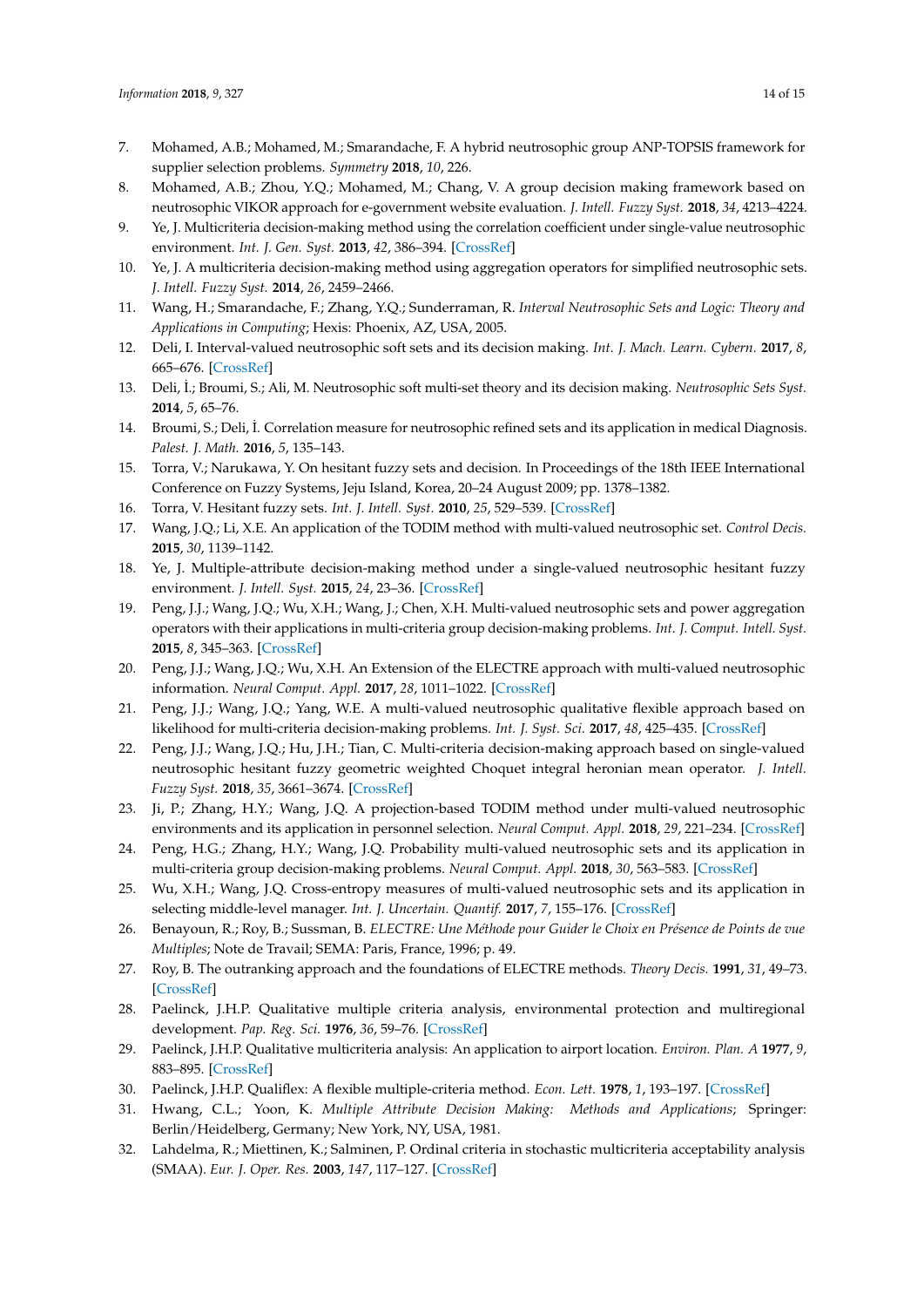- 7. Mohamed, A.B.; Mohamed, M.; Smarandache, F. A hybrid neutrosophic group ANP-TOPSIS framework for supplier selection problems. *Symmetry* **2018**, *10*, 226.
- <span id="page-13-0"></span>8. Mohamed, A.B.; Zhou, Y.Q.; Mohamed, M.; Chang, V. A group decision making framework based on neutrosophic VIKOR approach for e-government website evaluation. *J. Intell. Fuzzy Syst.* **2018**, *34*, 4213–4224.
- <span id="page-13-1"></span>9. Ye, J. Multicriteria decision-making method using the correlation coefficient under single-value neutrosophic environment. *Int. J. Gen. Syst.* **2013**, *42*, 386–394. [\[CrossRef\]](http://dx.doi.org/10.1080/03081079.2012.761609)
- <span id="page-13-2"></span>10. Ye, J. A multicriteria decision-making method using aggregation operators for simplified neutrosophic sets. *J. Intell. Fuzzy Syst.* **2014**, *26*, 2459–2466.
- <span id="page-13-3"></span>11. Wang, H.; Smarandache, F.; Zhang, Y.Q.; Sunderraman, R. *Interval Neutrosophic Sets and Logic: Theory and Applications in Computing*; Hexis: Phoenix, AZ, USA, 2005.
- <span id="page-13-4"></span>12. Deli, I. Interval-valued neutrosophic soft sets and its decision making. *Int. J. Mach. Learn. Cybern.* **2017**, *8*, 665–676. [\[CrossRef\]](http://dx.doi.org/10.1007/s13042-015-0461-3)
- <span id="page-13-5"></span>13. Deli, ˙I.; Broumi, S.; Ali, M. Neutrosophic soft multi-set theory and its decision making. *Neutrosophic Sets Syst.* **2014**, *5*, 65–76.
- <span id="page-13-6"></span>14. Broumi, S.; Deli, İ. Correlation measure for neutrosophic refined sets and its application in medical Diagnosis. *Palest. J. Math.* **2016**, *5*, 135–143.
- <span id="page-13-7"></span>15. Torra, V.; Narukawa, Y. On hesitant fuzzy sets and decision. In Proceedings of the 18th IEEE International Conference on Fuzzy Systems, Jeju Island, Korea, 20–24 August 2009; pp. 1378–1382.
- <span id="page-13-9"></span><span id="page-13-8"></span>16. Torra, V. Hesitant fuzzy sets. *Int. J. Intell. Syst.* **2010**, *25*, 529–539. [\[CrossRef\]](http://dx.doi.org/10.1002/int.20418)
- 17. Wang, J.Q.; Li, X.E. An application of the TODIM method with multi-valued neutrosophic set. *Control Decis.* **2015**, *30*, 1139–1142.
- <span id="page-13-10"></span>18. Ye, J. Multiple-attribute decision-making method under a single-valued neutrosophic hesitant fuzzy environment. *J. Intell. Syst.* **2015**, *24*, 23–36. [\[CrossRef\]](http://dx.doi.org/10.1515/jisys-2014-0001)
- <span id="page-13-11"></span>19. Peng, J.J.; Wang, J.Q.; Wu, X.H.; Wang, J.; Chen, X.H. Multi-valued neutrosophic sets and power aggregation operators with their applications in multi-criteria group decision-making problems. *Int. J. Comput. Intell. Syst.* **2015**, *8*, 345–363. [\[CrossRef\]](http://dx.doi.org/10.1080/18756891.2015.1001957)
- 20. Peng, J.J.; Wang, J.Q.; Wu, X.H. An Extension of the ELECTRE approach with multi-valued neutrosophic information. *Neural Comput. Appl.* **2017**, *28*, 1011–1022. [\[CrossRef\]](http://dx.doi.org/10.1007/s00521-016-2411-8)
- <span id="page-13-22"></span>21. Peng, J.J.; Wang, J.Q.; Yang, W.E. A multi-valued neutrosophic qualitative flexible approach based on likelihood for multi-criteria decision-making problems. *Int. J. Syst. Sci.* **2017**, *48*, 425–435. [\[CrossRef\]](http://dx.doi.org/10.1080/00207721.2016.1218975)
- <span id="page-13-12"></span>22. Peng, J.J.; Wang, J.Q.; Hu, J.H.; Tian, C. Multi-criteria decision-making approach based on single-valued neutrosophic hesitant fuzzy geometric weighted Choquet integral heronian mean operator. *J. Intell. Fuzzy Syst.* **2018**, *35*, 3661–3674. [\[CrossRef\]](http://dx.doi.org/10.3233/JIFS-18249)
- <span id="page-13-13"></span>23. Ji, P.; Zhang, H.Y.; Wang, J.Q. A projection-based TODIM method under multi-valued neutrosophic environments and its application in personnel selection. *Neural Comput. Appl.* **2018**, *29*, 221–234. [\[CrossRef\]](http://dx.doi.org/10.1007/s00521-016-2436-z)
- <span id="page-13-14"></span>24. Peng, H.G.; Zhang, H.Y.; Wang, J.Q. Probability multi-valued neutrosophic sets and its application in multi-criteria group decision-making problems. *Neural Comput. Appl.* **2018**, *30*, 563–583. [\[CrossRef\]](http://dx.doi.org/10.1007/s00521-016-2702-0)
- <span id="page-13-15"></span>25. Wu, X.H.; Wang, J.Q. Cross-entropy measures of multi-valued neutrosophic sets and its application in selecting middle-level manager. *Int. J. Uncertain. Quantif.* **2017**, *7*, 155–176. [\[CrossRef\]](http://dx.doi.org/10.1615/Int.J.UncertaintyQuantification.2017019440)
- <span id="page-13-16"></span>26. Benayoun, R.; Roy, B.; Sussman, B. *ELECTRE: Une Méthode pour Guider le Choix en Présence de Points de vue Multiples*; Note de Travail; SEMA: Paris, France, 1996; p. 49.
- <span id="page-13-17"></span>27. Roy, B. The outranking approach and the foundations of ELECTRE methods. *Theory Decis.* **1991**, *31*, 49–73. [\[CrossRef\]](http://dx.doi.org/10.1007/BF00134132)
- <span id="page-13-18"></span>28. Paelinck, J.H.P. Qualitative multiple criteria analysis, environmental protection and multiregional development. *Pap. Reg. Sci.* **1976**, *36*, 59–76. [\[CrossRef\]](http://dx.doi.org/10.1007/BF01944375)
- 29. Paelinck, J.H.P. Qualitative multicriteria analysis: An application to airport location. *Environ. Plan. A* **1977**, *9*, 883–895. [\[CrossRef\]](http://dx.doi.org/10.1068/a090883)
- <span id="page-13-19"></span>30. Paelinck, J.H.P. Qualiflex: A flexible multiple-criteria method. *Econ. Lett.* **1978**, *1*, 193–197. [\[CrossRef\]](http://dx.doi.org/10.1016/0165-1765(78)90023-X)
- <span id="page-13-20"></span>31. Hwang, C.L.; Yoon, K. *Multiple Attribute Decision Making: Methods and Applications*; Springer: Berlin/Heidelberg, Germany; New York, NY, USA, 1981.
- <span id="page-13-21"></span>32. Lahdelma, R.; Miettinen, K.; Salminen, P. Ordinal criteria in stochastic multicriteria acceptability analysis (SMAA). *Eur. J. Oper. Res.* **2003**, *147*, 117–127. [\[CrossRef\]](http://dx.doi.org/10.1016/S0377-2217(02)00267-9)